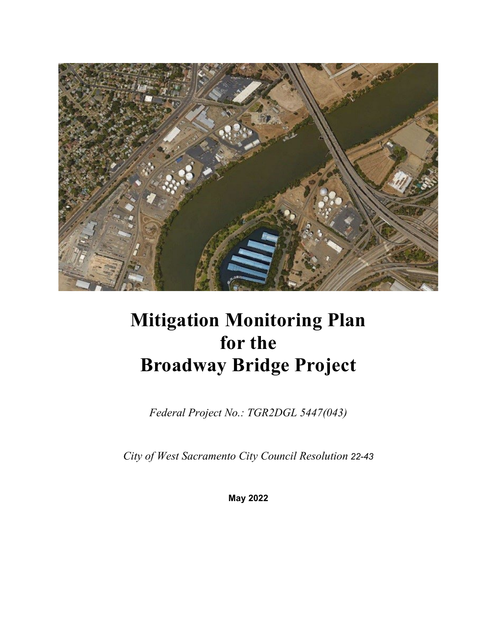

# **Mitigation Monitoring Plan for the Broadway Bridge Project**

*Federal Project No.: TGR2DGL 5447(043)*

*City of West Sacramento City Council Resolution 22-43*

**May 2022**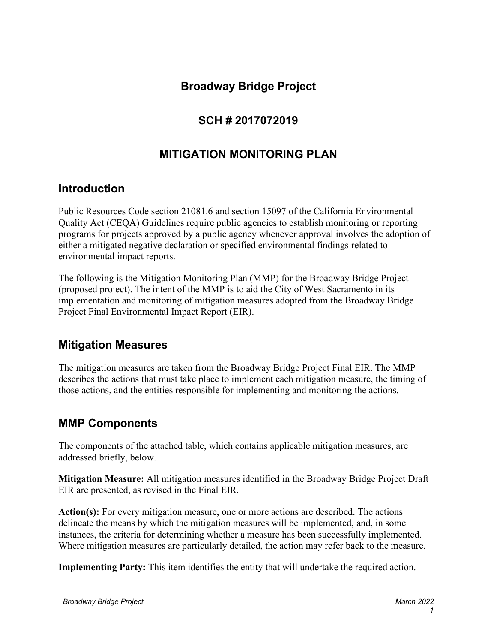## **Broadway Bridge Project**

## **SCH # 2017072019**

### **MITIGATION MONITORING PLAN**

### **Introduction**

Public Resources Code section 21081.6 and section 15097 of the California Environmental Quality Act (CEQA) Guidelines require public agencies to establish monitoring or reporting programs for projects approved by a public agency whenever approval involves the adoption of either a mitigated negative declaration or specified environmental findings related to environmental impact reports.

The following is the Mitigation Monitoring Plan (MMP) for the Broadway Bridge Project (proposed project). The intent of the MMP is to aid the City of West Sacramento in its implementation and monitoring of mitigation measures adopted from the Broadway Bridge Project Final Environmental Impact Report (EIR).

### **Mitigation Measures**

The mitigation measures are taken from the Broadway Bridge Project Final EIR. The MMP describes the actions that must take place to implement each mitigation measure, the timing of those actions, and the entities responsible for implementing and monitoring the actions.

### **MMP Components**

The components of the attached table, which contains applicable mitigation measures, are addressed briefly, below.

**Mitigation Measure:** All mitigation measures identified in the Broadway Bridge Project Draft EIR are presented, as revised in the Final EIR.

**Action(s):** For every mitigation measure, one or more actions are described. The actions delineate the means by which the mitigation measures will be implemented, and, in some instances, the criteria for determining whether a measure has been successfully implemented. Where mitigation measures are particularly detailed, the action may refer back to the measure.

**Implementing Party:** This item identifies the entity that will undertake the required action.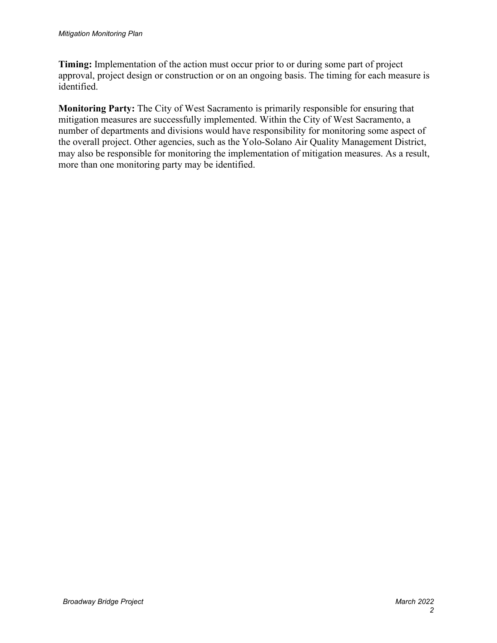**Timing:** Implementation of the action must occur prior to or during some part of project approval, project design or construction or on an ongoing basis. The timing for each measure is identified.

**Monitoring Party:** The City of West Sacramento is primarily responsible for ensuring that mitigation measures are successfully implemented. Within the City of West Sacramento, a number of departments and divisions would have responsibility for monitoring some aspect of the overall project. Other agencies, such as the Yolo-Solano Air Quality Management District, may also be responsible for monitoring the implementation of mitigation measures. As a result, more than one monitoring party may be identified.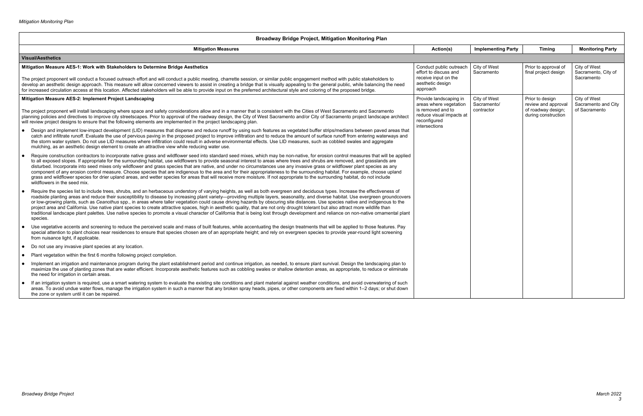| <b>Broadway Bridge Project, Mitigation Monitoring Plan</b>                                                                                                                                                                                                                                                                                                                                                                                                                                                                                                                                                                                                                                                                                                                                                                                                                                                                                                                   |                                                      |                             |                                              |                                     |            |                                           |               |
|------------------------------------------------------------------------------------------------------------------------------------------------------------------------------------------------------------------------------------------------------------------------------------------------------------------------------------------------------------------------------------------------------------------------------------------------------------------------------------------------------------------------------------------------------------------------------------------------------------------------------------------------------------------------------------------------------------------------------------------------------------------------------------------------------------------------------------------------------------------------------------------------------------------------------------------------------------------------------|------------------------------------------------------|-----------------------------|----------------------------------------------|-------------------------------------|------------|-------------------------------------------|---------------|
| <b>Mitigation Measures</b>                                                                                                                                                                                                                                                                                                                                                                                                                                                                                                                                                                                                                                                                                                                                                                                                                                                                                                                                                   | Action(s)                                            | <b>Implementing Party</b>   | <b>Timing</b>                                | <b>Monitoring Party</b>             |            |                                           |               |
| <b>Visual/Aesthetics</b>                                                                                                                                                                                                                                                                                                                                                                                                                                                                                                                                                                                                                                                                                                                                                                                                                                                                                                                                                     |                                                      |                             |                                              |                                     |            |                                           |               |
| Mitigation Measure AES-1: Work with Stakeholders to Determine Bridge Aesthetics                                                                                                                                                                                                                                                                                                                                                                                                                                                                                                                                                                                                                                                                                                                                                                                                                                                                                              | Conduct public outreach<br>effort to discuss and     | City of West<br>Sacramento  | Prior to approval of<br>final project design | City of West<br>Sacramento, City of |            |                                           |               |
| The project proponent will conduct a focused outreach effort and will conduct a public meeting, charrette session, or similar public engagement method with public stakeholders to<br>develop an aesthetic design approach. This measure will allow concerned viewers to assist in creating a bridge that is visually appealing to the general public, while balancing the need<br>for increased circulation access at this location. Affected stakeholders will be able to provide input on the preferred architectural style and coloring of the proposed bridge.                                                                                                                                                                                                                                                                                                                                                                                                          | receive input on the<br>aesthetic design<br>approach |                             |                                              | Sacramento                          |            |                                           |               |
| Mitigation Measure AES-2: Implement Project Landscaping                                                                                                                                                                                                                                                                                                                                                                                                                                                                                                                                                                                                                                                                                                                                                                                                                                                                                                                      | Provide landscaping in<br>areas where vegetation     | City of West<br>Sacramento/ | Prior to design<br>review and approval       | City of West<br>Sacramento and City |            |                                           |               |
| The project proponent will install landscaping where space and safety considerations allow and in a manner that is consistent with the Cities of West Sacramento and Sacramento<br>planning policies and directives to improve city streetscapes. Prior to approval of the roadway design, the City of West Sacramento and/or City of Sacramento project landscape architect<br>will review project designs to ensure that the following elements are implemented in the project landscaping plan.                                                                                                                                                                                                                                                                                                                                                                                                                                                                           | is removed and to<br>reconfigured<br>intersections   | reduce visual impacts at    |                                              |                                     | contractor | of roadway design;<br>during construction | of Sacramento |
| Design and implement low-impact development (LID) measures that disperse and reduce runoff by using such features as vegetated buffer strips/medians between paved areas that<br>$\bullet$<br>catch and infiltrate runoff. Evaluate the use of pervious paving in the proposed project to improve infiltration and to reduce the amount of surface runoff from entering waterways and<br>the storm water system. Do not use LID measures where infiltration could result in adverse environmental effects. Use LID measures, such as cobbled swales and aggregate<br>mulching, as an aesthetic design element to create an attractive view while reducing water use.                                                                                                                                                                                                                                                                                                         |                                                      |                             |                                              |                                     |            |                                           |               |
| Require construction contractors to incorporate native grass and wildflower seed into standard seed mixes, which may be non-native, for erosion control measures that will be applied<br>$\bullet$<br>to all exposed slopes. If appropriate for the surrounding habitat, use wildflowers to provide seasonal interest to areas where trees and shrubs are removed, and grasslands are<br>disturbed. Incorporate into seed mixes only wildflower and grass species that are native, and under no circumstances use any invasive grass or wildflower plant species as any<br>component of any erosion control measure. Choose species that are indigenous to the area and for their appropriateness to the surrounding habitat. For example, choose upland<br>grass and wildflower species for drier upland areas, and wetter species for areas that will receive more moisture. If not appropriate to the surrounding habitat, do not include<br>wildflowers in the seed mix. |                                                      |                             |                                              |                                     |            |                                           |               |
| Require the species list to include trees, shrubs, and an herbaceous understory of varying heights, as well as both evergreen and deciduous types. Increase the effectiveness of<br>$\bullet$<br>roadside planting areas and reduce their susceptibility to disease by increasing plant variety—providing multiple layers, seasonality, and diverse habitat. Use evergreen groundcovers<br>or low-growing plants, such as Ceanothus spp., in areas where taller vegetation could cause driving hazards by obscuring site distances. Use species native and indigenous to the<br>project area and California. Use native plant species to create attractive spaces, high in aesthetic quality, that are not only drought tolerant but also attract more wildlife than<br>traditional landscape plant palettes. Use native species to promote a visual character of California that is being lost through development and reliance on non-native ornamental plant<br>species.  |                                                      |                             |                                              |                                     |            |                                           |               |
| Use vegetative accents and screening to reduce the perceived scale and mass of built features, while accentuating the design treatments that will be applied to those features. Pay<br>special attention to plant choices near residences to ensure that species chosen are of an appropriate height; and rely on evergreen species to provide year-round light screening<br>from nuisance light, if applicable.                                                                                                                                                                                                                                                                                                                                                                                                                                                                                                                                                             |                                                      |                             |                                              |                                     |            |                                           |               |
| Do not use any invasive plant species at any location.<br>$\bullet$                                                                                                                                                                                                                                                                                                                                                                                                                                                                                                                                                                                                                                                                                                                                                                                                                                                                                                          |                                                      |                             |                                              |                                     |            |                                           |               |
| Plant vegetation within the first 6 months following project completion.<br>$\bullet$                                                                                                                                                                                                                                                                                                                                                                                                                                                                                                                                                                                                                                                                                                                                                                                                                                                                                        |                                                      |                             |                                              |                                     |            |                                           |               |
| Implement an irrigation and maintenance program during the plant establishment period and continue irrigation, as needed, to ensure plant survival. Design the landscaping plan to<br>$\bullet$<br>maximize the use of planting zones that are water efficient. Incorporate aesthetic features such as cobbling swales or shallow detention areas, as appropriate, to reduce or eliminate<br>the need for irrigation in certain areas.                                                                                                                                                                                                                                                                                                                                                                                                                                                                                                                                       |                                                      |                             |                                              |                                     |            |                                           |               |
| If an irrigation system is required, use a smart watering system to evaluate the existing site conditions and plant material against weather conditions, and avoid overwatering of such<br>areas. To avoid undue water flows, manage the irrigation system in such a manner that any broken spray heads, pipes, or other components are fixed within 1–2 days; or shut down<br>the zone or system until it can be repaired.                                                                                                                                                                                                                                                                                                                                                                                                                                                                                                                                                  |                                                      |                             |                                              |                                     |            |                                           |               |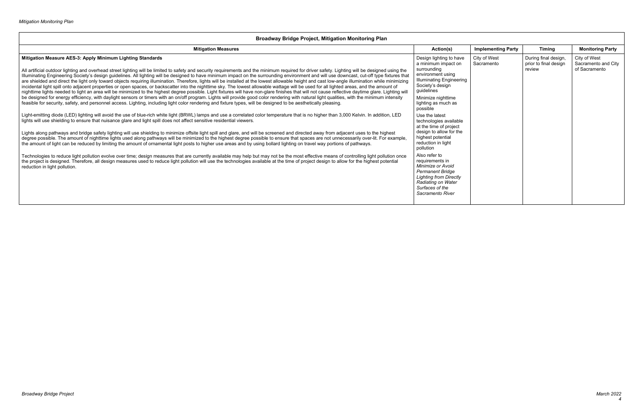| <b>Produway Drigge Froject, Mittigation Monitoring Fight</b>                                                                                                                                                                                                                                                                                                                                                                                                                                                                                                                                                                                                                                                                                                                                                                                                                                                                                                                                                                                                                                                                                                                                                                                                                                                                                                                                                                                                                                                                                                                                                                                                                                                                                                                                                                                                                                                                                                                                                                                                                                                                                                                                                                                                                                                                                                                                                                                                                                                                                                                                                                                                                                                                                                      |                                                                                                                                                                                                                                                                                                                                                                                                                                                                                                                                         |                            |                                                         |                                                      |  |
|-------------------------------------------------------------------------------------------------------------------------------------------------------------------------------------------------------------------------------------------------------------------------------------------------------------------------------------------------------------------------------------------------------------------------------------------------------------------------------------------------------------------------------------------------------------------------------------------------------------------------------------------------------------------------------------------------------------------------------------------------------------------------------------------------------------------------------------------------------------------------------------------------------------------------------------------------------------------------------------------------------------------------------------------------------------------------------------------------------------------------------------------------------------------------------------------------------------------------------------------------------------------------------------------------------------------------------------------------------------------------------------------------------------------------------------------------------------------------------------------------------------------------------------------------------------------------------------------------------------------------------------------------------------------------------------------------------------------------------------------------------------------------------------------------------------------------------------------------------------------------------------------------------------------------------------------------------------------------------------------------------------------------------------------------------------------------------------------------------------------------------------------------------------------------------------------------------------------------------------------------------------------------------------------------------------------------------------------------------------------------------------------------------------------------------------------------------------------------------------------------------------------------------------------------------------------------------------------------------------------------------------------------------------------------------------------------------------------------------------------------------------------|-----------------------------------------------------------------------------------------------------------------------------------------------------------------------------------------------------------------------------------------------------------------------------------------------------------------------------------------------------------------------------------------------------------------------------------------------------------------------------------------------------------------------------------------|----------------------------|---------------------------------------------------------|------------------------------------------------------|--|
| <b>Mitigation Measures</b>                                                                                                                                                                                                                                                                                                                                                                                                                                                                                                                                                                                                                                                                                                                                                                                                                                                                                                                                                                                                                                                                                                                                                                                                                                                                                                                                                                                                                                                                                                                                                                                                                                                                                                                                                                                                                                                                                                                                                                                                                                                                                                                                                                                                                                                                                                                                                                                                                                                                                                                                                                                                                                                                                                                                        | Action(s)                                                                                                                                                                                                                                                                                                                                                                                                                                                                                                                               | <b>Implementing Party</b>  | <b>Timing</b>                                           | <b>Monitoring Party</b>                              |  |
| Mitigation Measure AES-3: Apply Minimum Lighting Standards<br>All artificial outdoor lighting and overhead street lighting will be limited to safety and security requirements and the minimum required for driver safety. Lighting will be designed using the<br>Illuminating Engineering Society's design guidelines. All lighting will be designed to have minimum impact on the surrounding environment and will use downcast, cut-off type fixtures that<br>are shielded and direct the light only toward objects requiring illumination. Therefore, lights will be installed at the lowest allowable height and cast low-angle illumination while minimizing<br>incidental light spill onto adjacent properties or open spaces, or backscatter into the nighttime sky. The lowest allowable wattage will be used for all lighted areas, and the amount of<br>nighttime lights needed to light an area will be minimized to the highest degree possible. Light fixtures will have non-glare finishes that will not cause reflective daytime glare. Lighting will<br>be designed for energy efficiency, with daylight sensors or timers with an on/off program. Lights will provide good color rendering with natural light qualities, with the minimum intensity<br>feasible for security, safety, and personnel access. Lighting, including light color rendering and fixture types, will be designed to be aesthetically pleasing.<br>Light-emitting diode (LED) lighting will avoid the use of blue-rich white light (BRWL) lamps and use a correlated color temperature that is no higher than 3,000 Kelvin. In addition, LED<br>lights will use shielding to ensure that nuisance glare and light spill does not affect sensitive residential viewers.<br>Lights along pathways and bridge safety lighting will use shielding to minimize offsite light spill and glare, and will be screened and directed away from adjacent uses to the highest<br>degree possible. The amount of nighttime lights used along pathways will be minimized to the highest degree possible to ensure that spaces are not unnecessarily over-lit. For example,<br>the amount of light can be reduced by limiting the amount of ornamental light posts to higher use areas and by using bollard lighting on travel way portions of pathways.<br>Technologies to reduce light pollution evolve over time; design measures that are currently available may help but may not be the most effective means of controlling light pollution once<br>the project is designed. Therefore, all design measures used to reduce light pollution will use the technologies available at the time of project design to allow for the highest potential<br>reduction in light pollution. | Design lighting to have<br>a minimum impact on<br>surrounding<br>environment using<br><b>Illuminating Engineering</b><br>Society's design<br>guidelines<br>Minimize nighttime<br>lighting as much as<br>possible<br>Use the latest<br>technologies available<br>at the time of project<br>design to allow for the<br>highest potential<br>reduction in light<br>pollution<br>Also refer to<br>requirements in<br>Minimize or Avoid<br><b>Permanent Bridge</b><br><b>Lighting from Directly</b><br>Radiating on Water<br>Surfaces of the | City of West<br>Sacramento | During final design,<br>prior to final design<br>review | City of West<br>Sacramento and City<br>of Sacramento |  |
|                                                                                                                                                                                                                                                                                                                                                                                                                                                                                                                                                                                                                                                                                                                                                                                                                                                                                                                                                                                                                                                                                                                                                                                                                                                                                                                                                                                                                                                                                                                                                                                                                                                                                                                                                                                                                                                                                                                                                                                                                                                                                                                                                                                                                                                                                                                                                                                                                                                                                                                                                                                                                                                                                                                                                                   | Sacramento River                                                                                                                                                                                                                                                                                                                                                                                                                                                                                                                        |                            |                                                         |                                                      |  |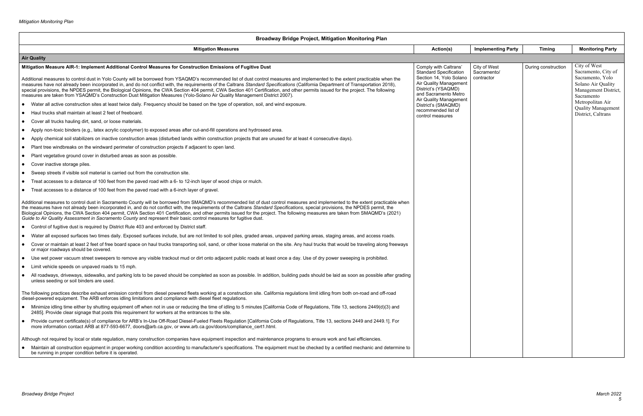| <b>Broadway Bridge Project, Mitigation Monitoring Plan</b>                                                                                                                                                                                                                                                                                                                                                                                                                                                                                                                                                                                                                                                                                                                                             |                                                                                                                                                                                             |                                           |                     |                                                                                                                     |
|--------------------------------------------------------------------------------------------------------------------------------------------------------------------------------------------------------------------------------------------------------------------------------------------------------------------------------------------------------------------------------------------------------------------------------------------------------------------------------------------------------------------------------------------------------------------------------------------------------------------------------------------------------------------------------------------------------------------------------------------------------------------------------------------------------|---------------------------------------------------------------------------------------------------------------------------------------------------------------------------------------------|-------------------------------------------|---------------------|---------------------------------------------------------------------------------------------------------------------|
| <b>Mitigation Measures</b>                                                                                                                                                                                                                                                                                                                                                                                                                                                                                                                                                                                                                                                                                                                                                                             | Action(s)                                                                                                                                                                                   | <b>Implementing Party</b>                 | <b>Timing</b>       | <b>Monitoring Party</b>                                                                                             |
| <b>Air Quality</b>                                                                                                                                                                                                                                                                                                                                                                                                                                                                                                                                                                                                                                                                                                                                                                                     |                                                                                                                                                                                             |                                           |                     |                                                                                                                     |
| Mitigation Measure AIR-1: Implement Additional Control Measures for Construction Emissions of Fugitive Dust<br>Additional measures to control dust in Yolo County will be borrowed from YSAQMD's recommended list of dust control measures and implemented to the extent practicable when the<br>measures have not already been incorporated in, and do not conflict with, the requirements of the Caltrans Standard Specifications (California Department of Transportation 2018),<br>special provisions, the NPDES permit, the Biological Opinions, the CWA Section 404 permit, CWA Section 401 Certification, and other permits issued for the project. The following<br>measures are taken from YSAQMD's Construction Dust Mitigation Measures (Yolo-Solano Air Quality Management District 2007). | Comply with Caltrans'<br><b>Standard Specification</b><br>Section 14, Yolo Solano<br>Air Quality Management<br>District's (YSAQMD)<br>and Sacramento Metro<br><b>Air Quality Management</b> | City of West<br>Sacramento/<br>contractor | During construction | City of West<br>Sacramento, City of<br>Sacramento, Yolo<br>Solano Air Quality<br>Management District,<br>Sacramento |
| • Water all active construction sites at least twice daily. Frequency should be based on the type of operation, soil, and wind exposure.                                                                                                                                                                                                                                                                                                                                                                                                                                                                                                                                                                                                                                                               | District's (SMAQMD)<br>recommended list of                                                                                                                                                  |                                           |                     | Metropolitan Air<br><b>Quality Management</b>                                                                       |
| • Haul trucks shall maintain at least 2 feet of freeboard.                                                                                                                                                                                                                                                                                                                                                                                                                                                                                                                                                                                                                                                                                                                                             | control measures                                                                                                                                                                            |                                           |                     | District, Caltrans                                                                                                  |
| Cover all trucks hauling dirt, sand, or loose materials.                                                                                                                                                                                                                                                                                                                                                                                                                                                                                                                                                                                                                                                                                                                                               |                                                                                                                                                                                             |                                           |                     |                                                                                                                     |
| • Apply non-toxic binders (e.g., latex acrylic copolymer) to exposed areas after cut-and-fill operations and hydroseed area.                                                                                                                                                                                                                                                                                                                                                                                                                                                                                                                                                                                                                                                                           |                                                                                                                                                                                             |                                           |                     |                                                                                                                     |
| • Apply chemical soil stabilizers on inactive construction areas (disturbed lands within construction projects that are unused for at least 4 consecutive days).                                                                                                                                                                                                                                                                                                                                                                                                                                                                                                                                                                                                                                       |                                                                                                                                                                                             |                                           |                     |                                                                                                                     |
| • Plant tree windbreaks on the windward perimeter of construction projects if adjacent to open land.                                                                                                                                                                                                                                                                                                                                                                                                                                                                                                                                                                                                                                                                                                   |                                                                                                                                                                                             |                                           |                     |                                                                                                                     |
| Plant vegetative ground cover in disturbed areas as soon as possible.                                                                                                                                                                                                                                                                                                                                                                                                                                                                                                                                                                                                                                                                                                                                  |                                                                                                                                                                                             |                                           |                     |                                                                                                                     |
| • Cover inactive storage piles.                                                                                                                                                                                                                                                                                                                                                                                                                                                                                                                                                                                                                                                                                                                                                                        |                                                                                                                                                                                             |                                           |                     |                                                                                                                     |
| • Sweep streets if visible soil material is carried out from the construction site.                                                                                                                                                                                                                                                                                                                                                                                                                                                                                                                                                                                                                                                                                                                    |                                                                                                                                                                                             |                                           |                     |                                                                                                                     |
| Treat accesses to a distance of 100 feet from the paved road with a 6- to 12-inch layer of wood chips or mulch.                                                                                                                                                                                                                                                                                                                                                                                                                                                                                                                                                                                                                                                                                        |                                                                                                                                                                                             |                                           |                     |                                                                                                                     |
| • Treat accesses to a distance of 100 feet from the paved road with a 6-inch layer of gravel.                                                                                                                                                                                                                                                                                                                                                                                                                                                                                                                                                                                                                                                                                                          |                                                                                                                                                                                             |                                           |                     |                                                                                                                     |
| Additional measures to control dust in Sacramento County will be borrowed from SMAQMD's recommended list of dust control measures and implemented to the extent practicable when<br>the measures have not already been incorporated in, and do not conflict with, the requirements of the Caltrans Standard Specifications, special provisions, the NPDES permit, the<br>Biological Opinions, the CWA Section 404 permit, CWA Section 401 Certification, and other permits issued for the project. The following measures are taken from SMAQMD's (2021)<br>Guide to Air Quality Assessment in Sacramento County and represent their basic control measures for fugitive dust.                                                                                                                         |                                                                                                                                                                                             |                                           |                     |                                                                                                                     |
| • Control of fugitive dust is required by District Rule 403 and enforced by District staff.                                                                                                                                                                                                                                                                                                                                                                                                                                                                                                                                                                                                                                                                                                            |                                                                                                                                                                                             |                                           |                     |                                                                                                                     |
| • Water all exposed surfaces two times daily. Exposed surfaces include, but are not limited to soil piles, graded areas, unpaved parking areas, staging areas, and access roads.                                                                                                                                                                                                                                                                                                                                                                                                                                                                                                                                                                                                                       |                                                                                                                                                                                             |                                           |                     |                                                                                                                     |
| Cover or maintain at least 2 feet of free board space on haul trucks transporting soil, sand, or other loose material on the site. Any haul trucks that would be traveling along freeways<br>or major roadways should be covered.                                                                                                                                                                                                                                                                                                                                                                                                                                                                                                                                                                      |                                                                                                                                                                                             |                                           |                     |                                                                                                                     |
| • Use wet power vacuum street sweepers to remove any visible trackout mud or dirt onto adjacent public roads at least once a day. Use of dry power sweeping is prohibited.                                                                                                                                                                                                                                                                                                                                                                                                                                                                                                                                                                                                                             |                                                                                                                                                                                             |                                           |                     |                                                                                                                     |
| • Limit vehicle speeds on unpaved roads to 15 mph.                                                                                                                                                                                                                                                                                                                                                                                                                                                                                                                                                                                                                                                                                                                                                     |                                                                                                                                                                                             |                                           |                     |                                                                                                                     |
| All roadways, driveways, sidewalks, and parking lots to be paved should be completed as soon as possible. In addition, building pads should be laid as soon as possible after grading<br>unless seeding or soil binders are used.                                                                                                                                                                                                                                                                                                                                                                                                                                                                                                                                                                      |                                                                                                                                                                                             |                                           |                     |                                                                                                                     |
| The following practices describe exhaust emission control from diesel powered fleets working at a construction site. California regulations limit idling from both on-road and off-road<br>diesel-powered equipment. The ARB enforces idling limitations and compliance with diesel fleet regulations.                                                                                                                                                                                                                                                                                                                                                                                                                                                                                                 |                                                                                                                                                                                             |                                           |                     |                                                                                                                     |
| • Minimize idling time either by shutting equipment off when not in use or reducing the time of idling to 5 minutes [California Code of Regulations, Title 13, sections 2449(d)(3) and<br>2485]. Provide clear signage that posts this requirement for workers at the entrances to the site.                                                                                                                                                                                                                                                                                                                                                                                                                                                                                                           |                                                                                                                                                                                             |                                           |                     |                                                                                                                     |
| • Provide current certificate(s) of compliance for ARB's In-Use Off-Road Diesel-Fueled Fleets Regulation [California Code of Regulations, Title 13, sections 2449 and 2449.1]. For<br>more information contact ARB at 877-593-6677, doors@arb.ca.gov, or www.arb.ca.gov/doors/compliance_cert1.html.                                                                                                                                                                                                                                                                                                                                                                                                                                                                                                   |                                                                                                                                                                                             |                                           |                     |                                                                                                                     |
| Although not required by local or state regulation, many construction companies have equipment inspection and maintenance programs to ensure work and fuel efficiencies.                                                                                                                                                                                                                                                                                                                                                                                                                                                                                                                                                                                                                               |                                                                                                                                                                                             |                                           |                     |                                                                                                                     |
| • Maintain all construction equipment in proper working condition according to manufacturer's specifications. The equipment must be checked by a certified mechanic and determine to<br>be running in proper condition before it is operated.                                                                                                                                                                                                                                                                                                                                                                                                                                                                                                                                                          |                                                                                                                                                                                             |                                           |                     |                                                                                                                     |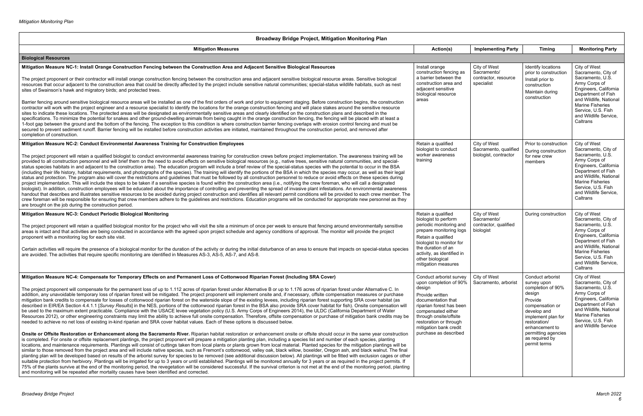| Broadway Bridge Project, Mitigation Monitoring Plan                                                                                                                                                                                                                                                                                                                                                                                                                                                                                                                                                                                                                                                                                                                                                                                                                                                                                                                                                                                                                                                                                                                                                                                                                                                                                                                                                                                                                                                                                                                                                                                                                                                                                                                                                                                                                                                                                                                                                                                                                                                                                                                                                                                                                                                                                                                                                                                                                                                                                                                                                                                                                                                                                                                                                                                                                                                                             |                                                                                                                                                                                                                                                               |                                                                   |                                                                                                                                                                                                                              |                                                                                                                                                                                                                                         |
|---------------------------------------------------------------------------------------------------------------------------------------------------------------------------------------------------------------------------------------------------------------------------------------------------------------------------------------------------------------------------------------------------------------------------------------------------------------------------------------------------------------------------------------------------------------------------------------------------------------------------------------------------------------------------------------------------------------------------------------------------------------------------------------------------------------------------------------------------------------------------------------------------------------------------------------------------------------------------------------------------------------------------------------------------------------------------------------------------------------------------------------------------------------------------------------------------------------------------------------------------------------------------------------------------------------------------------------------------------------------------------------------------------------------------------------------------------------------------------------------------------------------------------------------------------------------------------------------------------------------------------------------------------------------------------------------------------------------------------------------------------------------------------------------------------------------------------------------------------------------------------------------------------------------------------------------------------------------------------------------------------------------------------------------------------------------------------------------------------------------------------------------------------------------------------------------------------------------------------------------------------------------------------------------------------------------------------------------------------------------------------------------------------------------------------------------------------------------------------------------------------------------------------------------------------------------------------------------------------------------------------------------------------------------------------------------------------------------------------------------------------------------------------------------------------------------------------------------------------------------------------------------------------------------------------|---------------------------------------------------------------------------------------------------------------------------------------------------------------------------------------------------------------------------------------------------------------|-------------------------------------------------------------------|------------------------------------------------------------------------------------------------------------------------------------------------------------------------------------------------------------------------------|-----------------------------------------------------------------------------------------------------------------------------------------------------------------------------------------------------------------------------------------|
| <b>Mitigation Measures</b>                                                                                                                                                                                                                                                                                                                                                                                                                                                                                                                                                                                                                                                                                                                                                                                                                                                                                                                                                                                                                                                                                                                                                                                                                                                                                                                                                                                                                                                                                                                                                                                                                                                                                                                                                                                                                                                                                                                                                                                                                                                                                                                                                                                                                                                                                                                                                                                                                                                                                                                                                                                                                                                                                                                                                                                                                                                                                                      | Action(s)                                                                                                                                                                                                                                                     | <b>Implementing Party</b>                                         | <b>Timing</b>                                                                                                                                                                                                                | <b>Monitoring Party</b>                                                                                                                                                                                                                 |
| <b>Biological Resources</b>                                                                                                                                                                                                                                                                                                                                                                                                                                                                                                                                                                                                                                                                                                                                                                                                                                                                                                                                                                                                                                                                                                                                                                                                                                                                                                                                                                                                                                                                                                                                                                                                                                                                                                                                                                                                                                                                                                                                                                                                                                                                                                                                                                                                                                                                                                                                                                                                                                                                                                                                                                                                                                                                                                                                                                                                                                                                                                     |                                                                                                                                                                                                                                                               |                                                                   |                                                                                                                                                                                                                              |                                                                                                                                                                                                                                         |
| Mitigation Measure NC-1: Install Orange Construction Fencing between the Construction Area and Adjacent Sensitive Biological Resources<br>The project proponent or their contractor will install orange construction fencing between the construction area and adjacent sensitive biological resource areas. Sensitive biological<br>resources that occur adjacent to the construction area that could be directly affected by the project include sensitive natural communities; special-status wildlife habitats, such as nest<br>sites of Swainson's hawk and migratory birds; and protected trees.<br>Barrier fencing around sensitive biological resource areas will be installed as one of the first orders of work and prior to equipment staging. Before construction begins, the construction<br>contractor will work with the project engineer and a resource specialist to identify the locations for the orange construction fencing and will place stakes around the sensitive resource<br>sites to indicate these locations. The protected areas will be designated as environmentally sensitive areas and clearly identified on the construction plans and described in the<br>specifications. To minimize the potential for snakes and other ground-dwelling animals from being caught in the orange construction fencing, the fencing will be placed with at least a<br>1-foot gap between the ground and the bottom of the fencing. The exception to this condition is where construction barrier fencing overlaps with erosion control fencing and must be<br>secured to prevent sediment runoff. Barrier fencing will be installed before construction activities are initiated, maintained throughout the construction period, and removed after<br>completion of construction.                                                                                                                                                                                                                                                                                                                                                                                                                                                                                                                                                                                                                                                                                                                                                                                                                                                                                                                                                                                                                                                                                                                            | Install orange<br>construction fencing as<br>a barrier between the<br>construction area and<br>adjacent sensitive<br>biological resource<br>areas                                                                                                             | City of West<br>Sacramento/<br>contractor, resource<br>specialist | Identify locations<br>prior to construction<br>Install prior to<br>construction<br>Maintain during<br>construction                                                                                                           | City of West<br>Sacramento, City of<br>Sacramento, U.S.<br>Army Corps of<br>Engineers, California<br>Department of Fish<br>and Wildlife, National<br><b>Marine Fisheries</b><br>Service, U.S. Fish<br>and Wildlife Service,<br>Caltrans |
| Mitigation Measure NC-2: Conduct Environmental Awareness Training for Construction Employees<br>The project proponent will retain a qualified biologist to conduct environmental awareness training for construction crews before project implementation. The awareness training will be<br>provided to all construction personnel and will brief them on the need to avoid effects on sensitive biological resources (e.g., native trees, sensitive natural communities, and special-<br>status species habitats in and adjacent to the construction area). The education program will include a brief review of the special-status species with the potential to occur in the BSA<br>(including their life history, habitat requirements, and photographs of the species). The training will identify the portions of the BSA in which the species may occur, as well as their legal<br>status and protection. The program also will cover the restrictions and guidelines that must be followed by all construction personnel to reduce or avoid effects on these species during<br>project implementation. This will include the steps to be taken if a sensitive species is found within the construction area (i.e., notifying the crew foreman, who will call a designated<br>biologist). In addition, construction employees will be educated about the importance of controlling and preventing the spread of invasive plant infestations. An environmental awareness<br>handout that describes and illustrates sensitive resources to be avoided during project construction and identifies all relevant permit conditions will be provided to each crew member. The<br>crew foreman will be responsible for ensuring that crew members adhere to the guidelines and restrictions. Education programs will be conducted for appropriate new personnel as they<br>are brought on the job during the construction period.                                                                                                                                                                                                                                                                                                                                                                                                                                                                                                                                                                                                                                                                                                                                                                                                                                                                                                                                                                                               | Retain a qualified<br>biologist to conduct<br>worker awareness<br>training                                                                                                                                                                                    | City of West<br>Sacramento, qualified<br>biologist, contractor    | Prior to construction<br>During construction<br>for new crew<br>members                                                                                                                                                      | City of West<br>Sacramento, City of<br>Sacramento, U.S.<br>Army Corps of<br>Engineers, California<br>Department of Fish<br>and Wildlife, National<br><b>Marine Fisheries</b><br>Service, U.S. Fish<br>and Wildlife Service,<br>Caltrans |
| Mitigation Measure NC-3: Conduct Periodic Biological Monitoring<br>The project proponent will retain a qualified biological monitor for the project who will visit the site a minimum of once per week to ensure that fencing around environmentally sensitive<br>areas is intact and that activities are being conducted in accordance with the agreed upon project schedule and agency conditions of approval. The monitor will provide the project<br>proponent with a monitoring log for each site visit.<br>Certain activities will require the presence of a biological monitor for the duration of the activity or during the initial disturbance of an area to ensure that impacts on special-status species<br>are avoided. The activities that require specific monitoring are identified in Measures AS-3, AS-5, AS-7, and AS-8.                                                                                                                                                                                                                                                                                                                                                                                                                                                                                                                                                                                                                                                                                                                                                                                                                                                                                                                                                                                                                                                                                                                                                                                                                                                                                                                                                                                                                                                                                                                                                                                                                                                                                                                                                                                                                                                                                                                                                                                                                                                                                     | Retain a qualified<br>biologist to perform<br>periodic monitoring and<br>prepare monitoring logs<br>Retain a qualified<br>biologist to monitor for<br>the duration of an<br>activity, as identified in<br>other biological<br>mitigation measures             | City of West<br>Sacramento/<br>contractor, qualified<br>biologist | During construction                                                                                                                                                                                                          | City of West<br>Sacramento, City of<br>Sacramento, U.S.<br>Army Corps of<br>Engineers, California<br>Department of Fish<br>and Wildlife, National<br><b>Marine Fisheries</b><br>Service, U.S. Fish<br>and Wildlife Service,<br>Caltrans |
| Mitigation Measure NC-4: Compensate for Temporary Effects on and Permanent Loss of Cottonwood Riparian Forest (Including SRA Cover)<br>The project proponent will compensate for the permanent loss of up to 1.112 acres of riparian forest under Alternative B or up to 1.176 acres of riparian forest under Alternative C. In<br>addition, any unavoidable temporary loss of riparian forest will be mitigated. The project proponent will implement onsite and, if necessary, offsite compensation measures or purchase<br>mitigation bank credits to compensate for losses of cottonwood riparian forest on the waterside slope of the existing levees, including riparian forest supporting SRA cover habitat (as<br>described in EIR/EA Section 4.4.1.1 [Survey Results] in the NES, portions of the cottonwood riparian forest in the BSA also provide SRA cover habitat for fish). Onsite compensation will<br>be used to the maximum extent practicable. Compliance with the USACE levee vegetation policy (U.S. Army Corps of Engineers 2014), the ULDC (California Department of Water<br>Resources 2012), or other engineering constraints may limit the ability to achieve full onsite compensation. Therefore, offsite compensation or purchase of mitigation bank credits may be<br>needed to achieve no net loss of existing in-kind riparian and SRA cover habitat values. Each of these options is discussed below.<br>Onsite or Offsite Restoration or Enhancement along the Sacramento River. Riparian habitat restoration or enhancement onsite or offsite should occur in the same year construction<br>is completed. For onsite or offsite replacement plantings, the project proponent will prepare a mitigation planting plan, including a species list and number of each species, planting<br>locations, and maintenance requirements. Plantings will consist of cuttings taken from local plants or plants grown from local material. Planted species for the mitigation plantings will be<br>similar to those removed from the project area and will include native species, such as Fremont's cottonwood, valley oak, black willow, boxelder, Oregon ash, and black walnut. The final<br>planting plan will be developed based on results of the arborist survey for species to be removed (see additional discussion below). All plantings will be fitted with exclusion cages or other<br>suitable protection from herbivory. Plantings will be irrigated for up to 3 years or until established. Plantings will be monitored annually for 3 years or as required in the project permits. If<br>75% of the plants survive at the end of the monitoring period, the revegetation will be considered successful. If the survival criterion is not met at the end of the monitoring period, planting<br>and monitoring will be repeated after mortality causes have been identified and corrected. | Conduct arborist survey<br>upon completion of 90%<br>design<br>Provide written<br>documentation that<br>riparian forest has been<br>compensated either<br>through onsite/offsite<br>restoration or through<br>mitigation bank credit<br>purchase as described | City of West<br>Sacramento, arborist                              | Conduct arborist<br>survey upon<br>completion of 90%<br>design<br>Provide<br>compensation or<br>develop and<br>implement plan for<br>restoration/<br>enhancement to<br>permitting agencies<br>as required by<br>permit terms | City of West<br>Sacramento, City of<br>Sacramento, U.S.<br>Army Corps of<br>Engineers, California<br>Department of Fish<br>and Wildlife, National<br><b>Marine Fisheries</b><br>Service, U.S. Fish<br>and Wildlife Service              |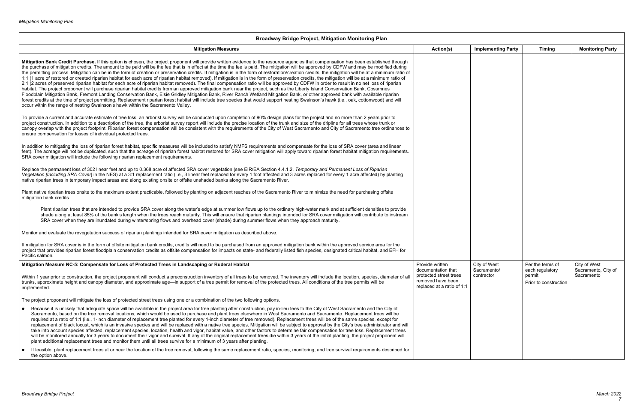| Broadway Bridge Project, Mitigation Monitoring Plan                                                                                                                                                                                                                                                                                                                                                                                                                                                                                                                                                                                                                                                                                                                                                                                                                                                                                                                                                                                                                                                                                                                                                                                                                                                                                                                                                                                                                                                                                                                                                                                                          |                                                                           |                             |                                     |                                     |
|--------------------------------------------------------------------------------------------------------------------------------------------------------------------------------------------------------------------------------------------------------------------------------------------------------------------------------------------------------------------------------------------------------------------------------------------------------------------------------------------------------------------------------------------------------------------------------------------------------------------------------------------------------------------------------------------------------------------------------------------------------------------------------------------------------------------------------------------------------------------------------------------------------------------------------------------------------------------------------------------------------------------------------------------------------------------------------------------------------------------------------------------------------------------------------------------------------------------------------------------------------------------------------------------------------------------------------------------------------------------------------------------------------------------------------------------------------------------------------------------------------------------------------------------------------------------------------------------------------------------------------------------------------------|---------------------------------------------------------------------------|-----------------------------|-------------------------------------|-------------------------------------|
| <b>Mitigation Measures</b>                                                                                                                                                                                                                                                                                                                                                                                                                                                                                                                                                                                                                                                                                                                                                                                                                                                                                                                                                                                                                                                                                                                                                                                                                                                                                                                                                                                                                                                                                                                                                                                                                                   | Action(s)                                                                 | <b>Implementing Party</b>   | <b>Timing</b>                       | <b>Monitoring Party</b>             |
| Mitigation Bank Credit Purchase. If this option is chosen, the project proponent will provide written evidence to the resource agencies that compensation has been established through<br>the purchase of mitigation credits. The amount to be paid will be the fee that is in effect at the time the fee is paid. The mitigation will be approved by CDFW and may be modified during<br>the permitting process. Mitigation can be in the form of creation or preservation credits. If mitigation is in the form of restoration/creation credits, the mitigation will be at a minimum ratio of<br>1:1 (1 acre of restored or created riparian habitat for each acre of riparian habitat removed). If mitigation is in the form of preservation credits, the mitigation will be at a minimum ratio of<br>2:1 (2 acres of preserved riparian habitat for each acre of riparian habitat removed). The final compensation ratio will be approved by CDFW in order to result in no net loss of riparian<br>habitat. The project proponent will purchase riparian habitat credits from an approved mitigation bank near the project, such as the Liberty Island Conservation Bank, Cosumnes<br>Floodplain Mitigation Bank, Fremont Landing Conservation Bank, Elsie Gridley Mitigation Bank, River Ranch Wetland Mitigation Bank, or other approved bank with available riparian<br>forest credits at the time of project permitting. Replacement riparian forest habitat will include tree species that would support nesting Swainson's hawk (i.e., oak, cottonwood) and will<br>occur within the range of nesting Swainson's hawk within the Sacramento Valley. |                                                                           |                             |                                     |                                     |
| To provide a current and accurate estimate of tree loss, an arborist survey will be conducted upon completion of 90% design plans for the project and no more than 2 years prior to<br>project construction. In addition to a description of the tree, the arborist survey report will include the precise location of the trunk and size of the dripline for all trees whose trunk or<br>canopy overlap with the project footprint. Riparian forest compensation will be consistent with the requirements of the City of West Sacramento and City of Sacramento tree ordinances to<br>ensure compensation for losses of individual protected trees.                                                                                                                                                                                                                                                                                                                                                                                                                                                                                                                                                                                                                                                                                                                                                                                                                                                                                                                                                                                                         |                                                                           |                             |                                     |                                     |
| In addition to mitigating the loss of riparian forest habitat, specific measures will be included to satisfy NMFS requirements and compensate for the loss of SRA cover (area and linear<br>feet). The acreage will not be duplicated, such that the acreage of riparian forest habitat restored for SRA cover mitigation will apply toward riparian forest habitat mitigation requirements.<br>SRA cover mitigation will include the following riparian replacement requirements.                                                                                                                                                                                                                                                                                                                                                                                                                                                                                                                                                                                                                                                                                                                                                                                                                                                                                                                                                                                                                                                                                                                                                                           |                                                                           |                             |                                     |                                     |
| Replace the permanent loss of 302 linear feet and up to 0.368 acre of affected SRA cover vegetation (see EIR/EA Section 4.4.1.2, Temporary and Permanent Loss of Riparian<br>Vegetation [Including SRA Cover] in the NES) at a 3:1 replacement ratio (i.e., 3 linear feet replaced for every 1 foot affected and 3 acres replaced for every 1 acre affected) by planting<br>native riparian trees in temporary impact areas and along existing onsite or offsite unshaded banks along the Sacramento River.                                                                                                                                                                                                                                                                                                                                                                                                                                                                                                                                                                                                                                                                                                                                                                                                                                                                                                                                                                                                                                                                                                                                                  |                                                                           |                             |                                     |                                     |
| Plant native riparian trees onsite to the maximum extent practicable, followed by planting on adjacent reaches of the Sacramento River to minimize the need for purchasing offsite<br>mitigation bank credits.                                                                                                                                                                                                                                                                                                                                                                                                                                                                                                                                                                                                                                                                                                                                                                                                                                                                                                                                                                                                                                                                                                                                                                                                                                                                                                                                                                                                                                               |                                                                           |                             |                                     |                                     |
| Plant riparian trees that are intended to provide SRA cover along the water's edge at summer low flows up to the ordinary high-water mark and at sufficient densities to provide<br>shade along at least 85% of the bank's length when the trees reach maturity. This will ensure that riparian plantings intended for SRA cover mitigation will contribute to instream<br>SRA cover when they are inundated during winter/spring flows and overhead cover (shade) during summer flows when they approach maturity.                                                                                                                                                                                                                                                                                                                                                                                                                                                                                                                                                                                                                                                                                                                                                                                                                                                                                                                                                                                                                                                                                                                                          |                                                                           |                             |                                     |                                     |
| Monitor and evaluate the revegetation success of riparian plantings intended for SRA cover mitigation as described above.                                                                                                                                                                                                                                                                                                                                                                                                                                                                                                                                                                                                                                                                                                                                                                                                                                                                                                                                                                                                                                                                                                                                                                                                                                                                                                                                                                                                                                                                                                                                    |                                                                           |                             |                                     |                                     |
| If mitigation for SRA cover is in the form of offsite mitigation bank credits, credits will need to be purchased from an approved mitigation bank within the approved service area for the<br>project that provides riparian forest floodplain conservation credits as offsite compensation for impacts on state- and federally listed fish species, designated critical habitat, and EFH for<br>Pacific salmon.                                                                                                                                                                                                                                                                                                                                                                                                                                                                                                                                                                                                                                                                                                                                                                                                                                                                                                                                                                                                                                                                                                                                                                                                                                             |                                                                           |                             |                                     |                                     |
| Mitigation Measure NC-5: Compensate for Loss of Protected Trees in Landscaping or Ruderal Habitat                                                                                                                                                                                                                                                                                                                                                                                                                                                                                                                                                                                                                                                                                                                                                                                                                                                                                                                                                                                                                                                                                                                                                                                                                                                                                                                                                                                                                                                                                                                                                            | Provide written<br>documentation that                                     | City of West<br>Sacramento/ | Per the terms of<br>each regulatory | City of West<br>Sacramento, City of |
| Within 1 year prior to construction, the project proponent will conduct a preconstruction inventory of all trees to be removed. The inventory will include the location, species, diameter of al<br>trunks, approximate height and canopy diameter, and approximate age—in support of a tree permit for removal of the protected trees. All conditions of the tree permits will be<br>implemented.                                                                                                                                                                                                                                                                                                                                                                                                                                                                                                                                                                                                                                                                                                                                                                                                                                                                                                                                                                                                                                                                                                                                                                                                                                                           | protected street trees<br>removed have been<br>replaced at a ratio of 1:1 | contractor                  | permit<br>Prior to construction     | Sacramento                          |
| The project proponent will mitigate the loss of protected street trees using one or a combination of the two following options.                                                                                                                                                                                                                                                                                                                                                                                                                                                                                                                                                                                                                                                                                                                                                                                                                                                                                                                                                                                                                                                                                                                                                                                                                                                                                                                                                                                                                                                                                                                              |                                                                           |                             |                                     |                                     |
| Because it is unlikely that adequate space will be available in the project area for tree planting after construction, pay in-lieu fees to the City of West Sacramento and the City of<br>Sacramento, based on the tree removal locations, which would be used to purchase and plant trees elsewhere in West Sacramento and Sacramento. Replacement trees will be<br>required at a ratio of 1:1 (i.e., 1-inch diameter of replacement tree planted for every 1-inch diameter of tree removed). Replacement trees will be of the same species, except for<br>replacement of black locust, which is an invasive species and will be replaced with a native tree species. Mitigation will be subject to approval by the City's tree administrator and will<br>take into account species affected, replacement species, location, health and vigor, habitat value, and other factors to determine fair compensation for tree loss. Replacement trees<br>will be monitored annually for 3 years to document their vigor and survival. If any of the original replacement trees die within 3 years of the initial planting, the project proponent will<br>plant additional replacement trees and monitor them until all trees survive for a minimum of 3 years after planting.                                                                                                                                                                                                                                                                                                                                                                                     |                                                                           |                             |                                     |                                     |
| If feasible, plant replacement trees at or near the location of the tree removal, following the same replacement ratio, species, monitoring, and tree survival requirements described for<br>$\bullet$<br>the option above.                                                                                                                                                                                                                                                                                                                                                                                                                                                                                                                                                                                                                                                                                                                                                                                                                                                                                                                                                                                                                                                                                                                                                                                                                                                                                                                                                                                                                                  |                                                                           |                             |                                     |                                     |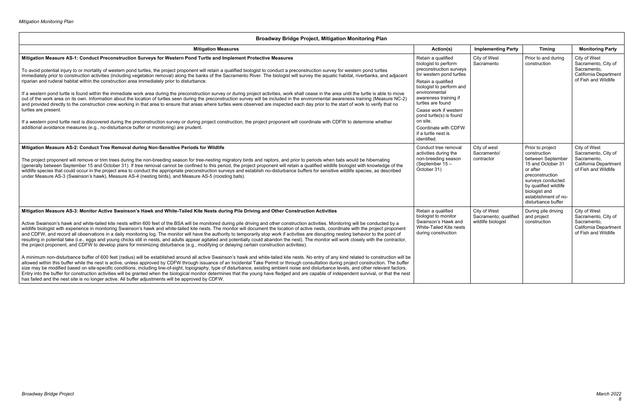| <b>Broadway Bridge Project, Mitigation Monitoring Plan</b>                                                                                                                                                                                                                                                                                                                                                                                                                                                                                                                                                                                                                                                                                                                                                                                                                                                                                                                                                                                                                           |                                                                                                                                                     |                                                             |                                                                                                                                                                                                                        |                                                                                                     |
|--------------------------------------------------------------------------------------------------------------------------------------------------------------------------------------------------------------------------------------------------------------------------------------------------------------------------------------------------------------------------------------------------------------------------------------------------------------------------------------------------------------------------------------------------------------------------------------------------------------------------------------------------------------------------------------------------------------------------------------------------------------------------------------------------------------------------------------------------------------------------------------------------------------------------------------------------------------------------------------------------------------------------------------------------------------------------------------|-----------------------------------------------------------------------------------------------------------------------------------------------------|-------------------------------------------------------------|------------------------------------------------------------------------------------------------------------------------------------------------------------------------------------------------------------------------|-----------------------------------------------------------------------------------------------------|
| <b>Mitigation Measures</b>                                                                                                                                                                                                                                                                                                                                                                                                                                                                                                                                                                                                                                                                                                                                                                                                                                                                                                                                                                                                                                                           | Action(s)                                                                                                                                           | <b>Implementing Party</b>                                   | <b>Timing</b>                                                                                                                                                                                                          | <b>Monitoring Party</b>                                                                             |
| Mitigation Measure AS-1: Conduct Preconstruction Surveys for Western Pond Turtle and Implement Protective Measures<br>To avoid potential injury to or mortality of western pond turtles, the project proponent will retain a qualified biologist to conduct a preconstruction survey for western pond turtles<br>immediately prior to construction activities (including vegetation removal) along the banks of the Sacramento River. The biologist will survey the aquatic habitat, riverbanks, and adjacent<br>riparian and ruderal habitat within the construction area immediately prior to disturbance.                                                                                                                                                                                                                                                                                                                                                                                                                                                                         | Retain a qualified<br>biologist to perform<br>preconstruction surveys<br>for western pond turtles<br>Retain a qualified<br>biologist to perform and | City of West<br>Sacramento                                  | Prior to and during<br>construction                                                                                                                                                                                    | City of West<br>Sacramento, City of<br>Sacramento,<br>California Department<br>of Fish and Wildlife |
| If a western pond turtle is found within the immediate work area during the preconstruction survey or during project activities, work shall cease in the area until the turtle is able to move<br>out of the work area on its own. Information about the location of turtles seen during the preconstruction survey will be included in the environmental awareness training (Measure NC-2)<br>and provided directly to the construction crew working in that area to ensure that areas where turtles were observed are inspected each day prior to the start of work to verify that no<br>turtles are present.                                                                                                                                                                                                                                                                                                                                                                                                                                                                      | environmental<br>awareness training if<br>turtles are found<br>Cease work if western<br>pond turtle(s) is found                                     |                                                             |                                                                                                                                                                                                                        |                                                                                                     |
| If a western pond turtle nest is discovered during the preconstruction survey or during project construction, the project proponent will coordinate with CDFW to determine whether<br>additional avoidance measures (e.g., no-disturbance buffer or monitoring) are prudent.                                                                                                                                                                                                                                                                                                                                                                                                                                                                                                                                                                                                                                                                                                                                                                                                         | on site.<br>Coordinate with CDFW<br>if a turtle nest is<br>identified.                                                                              |                                                             |                                                                                                                                                                                                                        |                                                                                                     |
| Mitigation Measure AS-2: Conduct Tree Removal during Non-Sensitive Periods for Wildlife<br>The project proponent will remove or trim trees during the non-breeding season for tree-nesting migratory birds and raptors, and prior to periods when bats would be hibernating<br>(generally between September 15 and October 31). If tree removal cannot be confined to this period, the project proponent will retain a qualified wildlife biologist with knowledge of the<br>wildlife species that could occur in the project area to conduct the appropriate preconstruction surveys and establish no-disturbance buffers for sensitive wildlife species, as described<br>under Measure AS-3 (Swainson's hawk), Measure AS-4 (nesting birds), and Measure AS-5 (roosting bats).                                                                                                                                                                                                                                                                                                     | Conduct tree removal<br>activities during the<br>non-breeding season<br>(September 15 -<br>October 31)                                              | City of west<br>Sacramento/<br>contractor                   | Prior to project<br>construction<br>between September<br>15 and October 31<br>or after<br>preconstruction<br>surveys conducted<br>by qualified wildlife<br>biologist and<br>establishment of no-<br>disturbance buffer | City of West<br>Sacramento, City of<br>Sacramento,<br>California Department<br>of Fish and Wildlife |
| Mitigation Measure AS-3: Monitor Active Swainson's Hawk and White-Tailed Kite Nests during Pile Driving and Other Construction Activities<br>Active Swainson's hawk and white-tailed kite nests within 600 feet of the BSA will be monitored during pile driving and other construction activities. Monitoring will be conducted by a<br>wildlife biologist with experience in monitoring Swainson's hawk and white-tailed kite nests. The monitor will document the location of active nests, coordinate with the project proponent<br>and CDFW, and record all observations in a daily monitoring log. The monitor will have the authority to temporarily stop work if activities are disrupting nesting behavior to the point of<br>resulting in potential take (i.e., eggs and young chicks still in nests, and adults appear agitated and potentially could abandon the nest). The monitor will work closely with the contractor,<br>the project proponent, and CDFW to develop plans for minimizing disturbance (e.g., modifying or delaying certain construction activities). | Retain a qualified<br>biologist to monitor<br>Swainson's Hawk and<br>White-Tailed Kite nests<br>during construction                                 | City of West<br>Sacramento; qualified<br>wildlife biologist | During pile driving<br>and project<br>construction                                                                                                                                                                     | City of West<br>Sacramento, City of<br>Sacramento,<br>California Department<br>of Fish and Wildlife |
| A minimum non-disturbance buffer of 600 feet (radius) will be established around all active Swainson's hawk and white-tailed kite nests. No entry of any kind related to construction will be<br>allowed within this buffer while the nest is active, unless approved by CDFW through issuance of an Incidental Take Permit or through consultation during project construction. The buffer<br>size may be modified based on site-specific conditions, including line-of-sight, topography, type of disturbance, existing ambient noise and disturbance levels, and other relevant factors.<br>Entry into the buffer for construction activities will be granted when the biological monitor determines that the young have fledged and are capable of independent survival, or that the nest<br>has failed and the nest site is no longer active. All buffer adjustments will be approved by CDFW.                                                                                                                                                                                  |                                                                                                                                                     |                                                             |                                                                                                                                                                                                                        |                                                                                                     |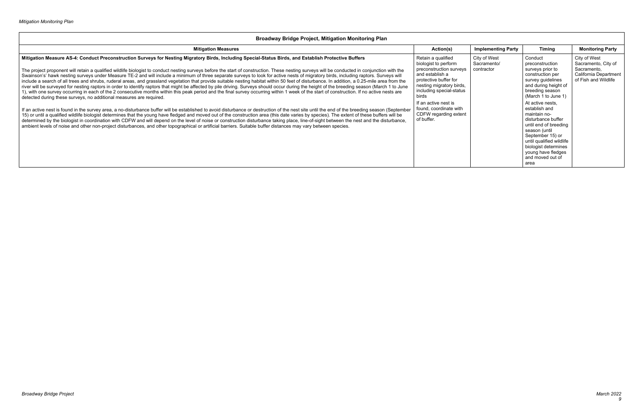| <b>Mitigation Measures</b>                                                                                                                                                                                                                                                                                                                                                                                                                                                                                                                                                                                                                                                                                                                                                                                                                                                                                                                                                                                                                                                                                                                                                                                                                                                                                                                                                                                                                                                                                                                                                                                                                                                                                                                                                                                                                                                                                                                                                                   | Action(s)                                                                                                                                                                                                                                                                   | <b>Implementing Party</b>                 | <b>Timing</b>                                                                                                                                                                                                                                                                                                                                                                                            | <b>Monitoring Party</b>                                                                             |
|----------------------------------------------------------------------------------------------------------------------------------------------------------------------------------------------------------------------------------------------------------------------------------------------------------------------------------------------------------------------------------------------------------------------------------------------------------------------------------------------------------------------------------------------------------------------------------------------------------------------------------------------------------------------------------------------------------------------------------------------------------------------------------------------------------------------------------------------------------------------------------------------------------------------------------------------------------------------------------------------------------------------------------------------------------------------------------------------------------------------------------------------------------------------------------------------------------------------------------------------------------------------------------------------------------------------------------------------------------------------------------------------------------------------------------------------------------------------------------------------------------------------------------------------------------------------------------------------------------------------------------------------------------------------------------------------------------------------------------------------------------------------------------------------------------------------------------------------------------------------------------------------------------------------------------------------------------------------------------------------|-----------------------------------------------------------------------------------------------------------------------------------------------------------------------------------------------------------------------------------------------------------------------------|-------------------------------------------|----------------------------------------------------------------------------------------------------------------------------------------------------------------------------------------------------------------------------------------------------------------------------------------------------------------------------------------------------------------------------------------------------------|-----------------------------------------------------------------------------------------------------|
| Mitigation Measure AS-4: Conduct Preconstruction Surveys for Nesting Migratory Birds, Including Special-Status Birds, and Establish Protective Buffers<br>The project proponent will retain a qualified wildlife biologist to conduct nesting surveys before the start of construction. These nesting surveys will be conducted in conjunction with the<br>Swainson's' hawk nesting surveys under Measure TE-2 and will include a minimum of three separate surveys to look for active nests of migratory birds, including raptors. Surveys will<br>include a search of all trees and shrubs, ruderal areas, and grassland vegetation that provide suitable nesting habitat within 50 feet of disturbance. In addition, a 0.25-mile area from the<br>river will be surveyed for nesting raptors in order to identify raptors that might be affected by pile driving. Surveys should occur during the height of the breeding season (March 1 to June<br>1), with one survey occurring in each of the 2 consecutive months within this peak period and the final survey occurring within 1 week of the start of construction. If no active nests are<br>detected during these surveys, no additional measures are required.<br>If an active nest is found in the survey area, a no-disturbance buffer will be established to avoid disturbance or destruction of the nest site until the end of the breeding season (September<br>15) or until a qualified wildlife biologist determines that the young have fledged and moved out of the construction area (this date varies by species). The extent of these buffers will be<br>determined by the biologist in coordination with CDFW and will depend on the level of noise or construction disturbance taking place, line-of-sight between the nest and the disturbance,<br>ambient levels of noise and other non-project disturbances, and other topographical or artificial barriers. Suitable buffer distances may vary between species. | Retain a qualified<br>biologist to perform<br>preconstruction surveys<br>and establish a<br>protective buffer for<br>nesting migratory birds,<br>including special-status<br>birds<br>If an active nest is<br>found, coordinate with<br>CDFW regarding extent<br>of buffer. | City of West<br>Sacramento/<br>contractor | Conduct<br>preconstruction<br>surveys prior to<br>construction per<br>survey guidelines<br>and during height of<br>breeding season<br>(March 1 to June 1)<br>At active nests.<br>establish and<br>maintain no-<br>disturbance buffer<br>until end of breeding<br>season (until<br>September 15) or<br>until qualified wildlife<br>biologist determines<br>young have fledges<br>and moved out of<br>area | City of West<br>Sacramento, City of<br>Sacramento.<br>California Department<br>of Fish and Wildlife |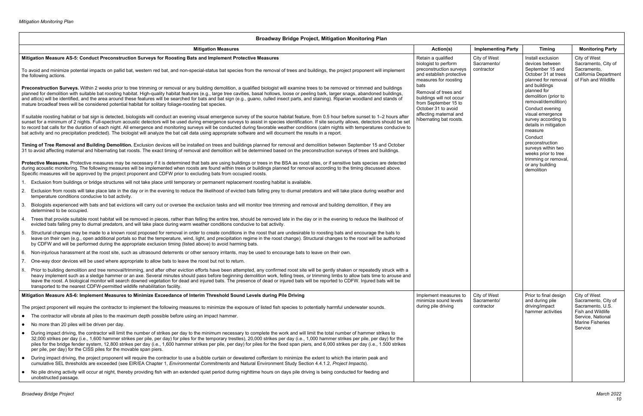#### **Broadway Bridge Project, Mitigation Monitoring Plan Mitigation Measures Action(s) Implementing Party Timing Monitoring Party Mitigation Measure AS-5: Conduct Preconstruction Surveys for Roosting Bats and Implement Protective Measures** To avoid and minimize potential impacts on pallid bat, western red bat, and non-special-status bat species from the removal of trees and buildings, the project proponent will implement the following actions. Preconstruction Surveys. Within 2 weeks prior to tree trimming or removal or any building demolition, a qualified biologist will examine trees to be removed or trimmed and buildings planned for demolition with suitable bat roosting habitat. High-quality habitat features (e.g., large tree cavities, basal hollows, loose or peeling bark, larger snags, abandoned buildings, and attics) will be identified, and the area around these features will be searched for bats and bat sign (e.g., guano, culled insect parts, and staining). Riparian woodland and stands of mature broadleaf trees will be considered potential habitat for solitary foliage-roosting bat species. If suitable roosting habitat or bat sign is detected, biologists will conduct an evening visual emergence survey of the source habitat feature, from 0.5 hour before sunset to 1–2 hours after sunset for a minimum of 2 nights. Full-spectrum acoustic detectors will be used during emergence surveys to assist in species identification. If site security allows, detectors should be set to record bat calls for the duration of each night. All emergence and monitoring surveys will be conducted during favorable weather conditions (calm nights with temperatures conducive to bat activity and no precipitation predicted). The biologist will analyze the bat call data using appropriate software and will document the results in a report. **Timing of Tree Removal and Building Demolition.** Exclusion devices will be installed on trees and buildings planned for removal and demolition between September 15 and October 31 to avoid affecting maternal and hibernating bat roosts. The exact timing of removal and demolition will be determined based on the preconstruction surveys of trees and buildings. Protective Measures. Protective measures may be necessary if it is determined that bats are using buildings or trees in the BSA as roost sites, or if sensitive bats species are detected during acoustic monitoring. The following measures will be implemented when roosts are found within trees or buildings planned for removal according to the timing discussed above. Specific measures will be approved by the project proponent and CDFW prior to excluding bats from occupied roosts. 1. Exclusion from buildings or bridge structures will not take place until temporary or permanent replacement roosting habitat is available. 2. Exclusion from roosts will take place late in the day or in the evening to reduce the likelihood of evicted bats falling prey to diurnal predators and will take place during weather and temperature conditions conducive to bat activity. 3. Biologists experienced with bats and bat evictions will carry out or oversee the exclusion tasks and will monitor tree trimming and removal and building demolition, if they are determined to be occupied. 4. Trees that provide suitable roost habitat will be removed in pieces, rather than felling the entire tree, should be removed late in the day or in the evening to reduce the likelihood of evicted bats falling prey to diurnal predators, and will take place during warm weather conditions conducive to bat activity. 5. Structural changes may be made to a known roost proposed for removal in order to create conditions in the roost that are undesirable to roosting bats and encourage the bats to leave on their own (e.g., open additional portals so that the temperature, wind, light, and precipitation regime in the roost change). Structural changes to the roost will be authorized by CDFW and will be performed during the appropriate exclusion timing (listed above) to avoid harming bats. 6. Non-injurious harassment at the roost site, such as ultrasound deterrents or other sensory irritants, may be used to encourage bats to leave on their own. 7. One-way door devices will be used where appropriate to allow bats to leave the roost but not to return. 8. Prior to building demolition and tree removal/trimming, and after other eviction efforts have been attempted, any confirmed roost site will be gently shaken or repeatedly struck with a heavy implement such as a sledge hammer or an axe. Several minutes should pass before beginning demolition work, felling trees, or trimming limbs to allow bats time to arouse and leave the roost. A biological monitor will search downed vegetation for dead and injured bats. The presence of dead or injured bats will be reported to CDFW. Injured bats will be transported to the nearest CDFW-permitted wildlife rehabilitation facility. Retain a qualified biologist to perform preconstruction surveys and establish protective measures for roosting bats Removal of trees and buildings will not occur from September 15 to October 31 to avoid affecting maternal and hibernating bat roosts. **Mitigation Measure AS-6: Implement Measures to Minimize Exceedance of Interim Threshold Sound Levels during Pile Driving** The project proponent will require the contractor to implement the following measures to minimize the exposure of listed fish species to potentially harmful underwater sounds. The contractor will vibrate all piles to the maximum depth possible before using an impact hammer. • No more than 20 piles will be driven per day. During impact driving, the contractor will limit the number of strikes per day to the minimum necessary to complete the work and will limit the total number of hammer strikes to 32,000 strikes per day (i.e., 1,600 hammer strikes per pile, per day) for piles for the temporary trestles), 20,000 strikes per day (i.e., 1,000 hammer strikes per pile, per day) for the piles for the bridge fender system, 12,800 strikes per day (i.e., 1,600 hammer strikes per pile, per day) for piles for the fixed span piers, and 6,000 strikes per day (i.e., 1.500 strikes per pile, per day) for the CISS piles for the movable span piers. • During impact driving, the project proponent will require the contractor to use a bubble curtain or dewatered cofferdam to minimize the extent to which the interim peak and cumulative SEL thresholds are exceeded (see EIR/EA Chapter 1, *Environmental Commitments* and Natural Environment Study Section 4.4.1.2, *Project Impacts*). No pile driving activity will occur at night, thereby providing fish with an extended quiet period during nighttime hours on days pile driving is being conducted for feeding and unobstructed passage. Implement measures to minimize sound levels during pile driving

| <b>Implementing Party</b>                 | <b>Timing</b>                                                                                                                                                                                                                                                                                                                                                                                                               | <b>Monitoring Party</b>                                                                                                                        |
|-------------------------------------------|-----------------------------------------------------------------------------------------------------------------------------------------------------------------------------------------------------------------------------------------------------------------------------------------------------------------------------------------------------------------------------------------------------------------------------|------------------------------------------------------------------------------------------------------------------------------------------------|
| City of West<br>Sacramento/<br>contractor | Install exclusion<br>devices between<br>September 15 and<br>October 31 at trees<br>planned for removal<br>and buildings<br>planned for<br>demolition (prior to<br>removal/demolition)<br>Conduct evening<br>visual emergence<br>survey according to<br>details in mitigation<br>measure<br>Conduct<br>preconstruction<br>surveys within two<br>weeks prior to tree<br>trimming or removal,<br>or any building<br>demolition | City of West<br>Sacramento, City of<br>Sacramento,<br>California Department<br>of Fish and Wildlife                                            |
| City of West<br>Sacramento/<br>contractor | Prior to final design<br>and during pile<br>driving/impact<br>hammer activities                                                                                                                                                                                                                                                                                                                                             | City of West<br>Sacramento, City of<br>Sacramento, U.S.<br><b>Fish and Wildlife</b><br>Service, National<br><b>Marine Fisheries</b><br>Service |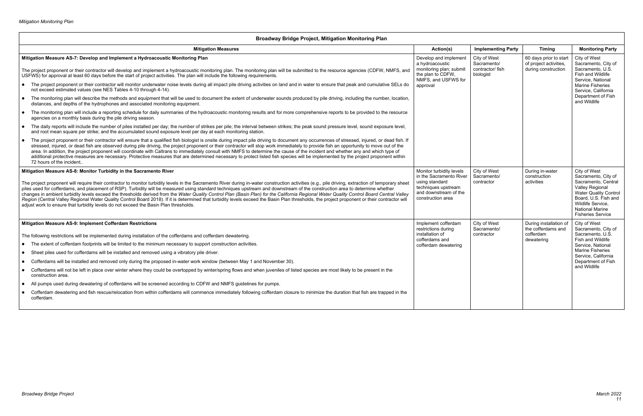#### **Broadway Bridge Project, Mitigation Monitoring Plan Mitigation Measures Action(s) Implementing Party Timing Monitoring Party Mitigation Measure AS-7: Develop and Implement a Hydroacoustic Monitoring Plan** The project proponent or their contractor will develop and implement a hydroacoustic monitoring plan. The monitoring plan will be submitted to the resource agencies (CDFW, NMFS, and USFWS) for approval at least 60 days before the start of project activities. The plan will include the following requirements. The project proponent or their contractor will monitor underwater noise levels during all impact pile driving activities on land and in water to ensure that peak and cumulative SELs do not exceed estimated values (see NES Tables 4-10 through 4-14). • The monitoring plan will describe the methods and equipment that will be used to document the extent of underwater sounds produced by pile driving, including the number, location, distances, and depths of the hydrophones and associated monitoring equipment. • The monitoring plan will include a reporting schedule for daily summaries of the hydroacoustic monitoring results and for more comprehensive reports to be provided to the resource agencies on a monthly basis during the pile driving season. • The daily reports will include the number of piles installed per day; the number of strikes per pile; the interval between strikes; the peak sound pressure level, sound exposure level, and root mean square per strike; and the accumulated sound exposure level per day at each monitoring station. • The project proponent or their contractor will ensure that a qualified fish biologist is onsite during impact pile driving to document any occurrences of stressed, injured, or dead fish. If stressed, injured, or dead fish are observed during pile driving, the project proponent or their contractor will stop work immediately to provide fish an opportunity to move out of the area. In addition, the project proponent will coordinate with Caltrans to immediately consult with NMFS to determine the cause of the incident and whether any and which type of additional protective measures are necessary. Protective measures that are determined necessary to protect listed fish species will be implemented by the project proponent within 72 hours of the incident.. Develop and implement a hydroacoustic monitoring plan; submit the plan to CDFW, NMFS, and USFWS for approval **Mitigation Measure AS-8: Monitor Turbidity in the Sacramento River** The project proponent will require their contractor to monitor turbidity levels in the Sacramento River during in-water construction activities (e.g., pile driving, extraction of temporary sheet piles used for cofferdams, and placement of RSP). Turbidity will be measured using standard techniques upstream and downstream of the construction area to determine whether changes in ambient turbidity levels exceed the thresholds derived from the *Water Quality Control Plan (Basin Plan) for the California Regional Water Quality Control Board Central Valley*  Region (Central Valley Regional Water Quality Control Board 2018). If it is determined that turbidity levels exceed the Basin Plan thresholds, the project proponent or their contractor will adjust work to ensure that turbidity levels do not exceed the Basin Plan thresholds. Monitor turbidity levels in the Sacramento River using standard techniques upstream and downstream of the construction area **Mitigation Measure AS-9: Implement Cofferdam Restrictions** The following restrictions will be implemented during installation of the cofferdams and cofferdam dewatering. The extent of cofferdam footprints will be limited to the minimum necessary to support construction activities. Sheet piles used for cofferdams will be installed and removed using a vibratory pile driver. Cofferdams will be installed and removed only during the proposed in-water work window (between May 1 and November 30). Cofferdams will not be left in place over winter where they could be overtopped by winter/spring flows and when juveniles of listed species are most likely to be present in the construction area. All pumps used during dewatering of cofferdams will be screened according to CDFW and NMFS guidelines for pumps. Cofferdam dewatering and fish rescue/relocation from within cofferdams will commence immediately following cofferdam closure to minimize the duration that fish are trapped in the cofferdam. Implement cofferdam restrictions during installation of cofferdams and cofferdam dewatering

| <b>Implementing Party</b>                                    | <b>Timing</b>                                                           | <b>Monitoring Party</b>                                                                                                                                                                                                 |
|--------------------------------------------------------------|-------------------------------------------------------------------------|-------------------------------------------------------------------------------------------------------------------------------------------------------------------------------------------------------------------------|
| City of West<br>Sacramento/<br>contractor/ fish<br>biologist | 60 days prior to start<br>of project activities,<br>during construction | City of West<br>Sacramento, City of<br>Sacramento, U.S.<br><b>Fish and Wildlife</b><br>Service, National<br><b>Marine Fisheries</b><br>Service, California<br>Department of Fish<br>and Wildlife                        |
| City of West<br>Sacramento/<br>contractor                    | During in-water<br>construction<br>activities                           | City of West<br>Sacramento, City of<br>Sacramento, Central<br><b>Valley Regional</b><br><b>Water Quality Control</b><br>Board, U.S. Fish and<br>Wildlife Service.<br><b>National Marine</b><br><b>Fisheries Service</b> |
| City of West<br>Sacramento/<br>contractor                    | During installation of<br>the cofferdams and<br>cofferdam<br>dewatering | City of West<br>Sacramento, City of<br>Sacramento, U.S.<br><b>Fish and Wildlife</b><br>Service, National<br><b>Marine Fisheries</b><br>Service, California<br>Department of Fish<br>and Wildlife                        |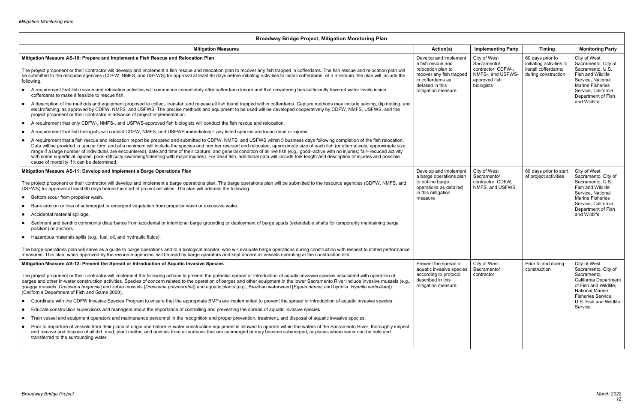#### **Broadway Bridge Project, Mitigation Monitoring Plan Mitigation Measures Action(s) Implementing Party Timing Monitoring Party Mitigation Measure AS-10: Prepare and Implement a Fish Rescue and Relocation Plan** The project proponent or their contractor will develop and implement a fish rescue and relocation plan to recover any fish trapped in cofferdams. The fish rescue and relocation plan will be submitted to the resource agencies (CDFW, NMFS, and USFWS) for approval at least 60 days before initiating activities to install cofferdams. At a minimum, the plan will include the following. A requirement that fish rescue and relocation activities will commence immediately after cofferdam closure and that dewatering has sufficiently lowered water levels inside cofferdams to make it feasible to rescue fish. A description of the methods and equipment proposed to collect, transfer, and release all fish found trapped within cofferdams. Capture methods may include seining, dip netting, and electrofishing, as approved by CDFW, NMFS, and USFWS. The precise methods and equipment to be used will be developed cooperatively by CDFW, NMFS, USFWS, and the project proponent or their contractor in advance of project implementation. A requirement that only CDFW-, NMFS-, and USFWS-approved fish biologists will conduct the fish rescue and relocation. A requirement that fish biologists will contact CDFW, NMFS, and USFWS immediately if any listed species are found dead or injured. A requirement that a fish rescue and relocation report be prepared and submitted to CDFW, NMFS, and USFWS within 5 business days following completion of the fish relocation. Data will be provided in tabular form and at a minimum will include the species and number rescued and relocated, approximate size of each fish (or alternatively, approximate size range if a large number of individuals are encountered), date and time of their capture, and general condition of all live fish (e.g., good–active with no injuries; fair–reduced activity with some superficial injuries; poor–difficulty swimming/orienting with major injuries). For dead fish, additional data will include fork length and description of injuries and possible cause of mortality if it can be determined. Develop and implement a fish rescue and relocation plan to recover any fish trapped in cofferdams as detailed in this mitigation measure **Mitigation Measure AS-11: Develop and Implement a Barge Operations Plan** The project proponent or their contractor will develop and implement a barge operations plan. The barge operations plan will be submitted to the resource agencies (CDFW, NMFS, and USFWS) for approval at least 60 days before the start of project activities. The plan will address the following. ● Bottom scour from propeller wash. Bank erosion or loss of submerged or emergent vegetation from propeller wash or excessive wake. Accidental material spillage. Sediment and benthic community disturbance from accidental or intentional barge grounding or deployment of barge spuds (extendable shafts for temporarily maintaining barge position) or anchors. Hazardous materials spills (e.g., fuel, oil, and hydraulic fluids). The barge operations plan will serve as a guide to barge operations and to a biological monitor, who will evaluate barge operations during construction with respect to stated performance measures. This plan, when approved by the resource agencies, will be read by barge operators and kept aboard all vessels operating at the construction site. Develop and implement a barge operations plan to outline barge operations as detailed in this mitigation measure **Mitigation Measure AS-12: Prevent the Spread or Introduction of Aquatic Invasive Species** The project proponent or their contractor will implement the following actions to prevent the potential spread or introduction of aquatic invasive species associated with operation of barges and other in-water construction activities. Species of concern related to the operation of barges and other equipment in the lower Sacramento River include invasive mussels (e.g., quagga mussels [*Dreissena bugensis*] and zebra mussels [*Dreissena polymorpha*]) and aquatic plants (e.g., Brazilian waterweed [*Egeria densa*] and hydrilla [*Hydrilla verticillata*]) (California Department of Fish and Game 2008). Coordinate with the CDFW Invasive Species Program to ensure that the appropriate BMPs are implemented to prevent the spread or introduction of aquatic invasive species. Educate construction supervisors and managers about the importance of controlling and preventing the spread of aquatic invasive species. Train vessel and equipment operators and maintenance personnel in the recognition and proper prevention, treatment, and disposal of aquatic invasive species. Prior to departure of vessels from their place of origin and before in-water construction equipment is allowed to operate within the waters of the Sacramento River, thoroughly inspect and remove and dispose of all dirt, mud, plant matter, and animals from all surfaces that are submerged or may become submerged, or places where water can be held and transferred to the surrounding water. Prevent the spread of aquatic invasive species according to protocol described in this mitigation measure

| <b>Implementing Party</b>                                                                             | <b>Timing</b>                                                                              | <b>Monitoring Party</b>                                                                                                                                                                   |
|-------------------------------------------------------------------------------------------------------|--------------------------------------------------------------------------------------------|-------------------------------------------------------------------------------------------------------------------------------------------------------------------------------------------|
| City of West<br>Sacramento/<br>contractor; CDFW-,<br>NMFS-, and USFWS-<br>approved fish<br>biologists | 60 days prior to<br>initiating activities to<br>install cofferdams:<br>during construction | City of West<br>Sacramento, City of<br>Sacramento, U.S.<br>Fish and Wildlife<br>Service, National<br>Marine Fisheries<br>Service, California<br>Department of Fish<br>and Wildlife        |
| City of West<br>Sacramento/<br>contractor; CDFW,<br>NMFS, and USFWS                                   | 60 days prior to start<br>of project activities                                            | City of West<br>Sacramento, City of<br>Sacramento, U.S.<br><b>Fish and Wildlife</b><br>Service, National<br>Marine Fisheries<br>Service, California<br>Department of Fish<br>and Wildlife |
| City of West<br>Sacramento/<br>contractor                                                             | Prior to and during<br>construction                                                        | City of West<br>Sacramento, City of<br>Sacramento,<br>California Department<br>of Fish and Wildlife;<br><b>National Marine</b><br>Fisheries Service,<br>U.S. Fish and Wildlife<br>Service |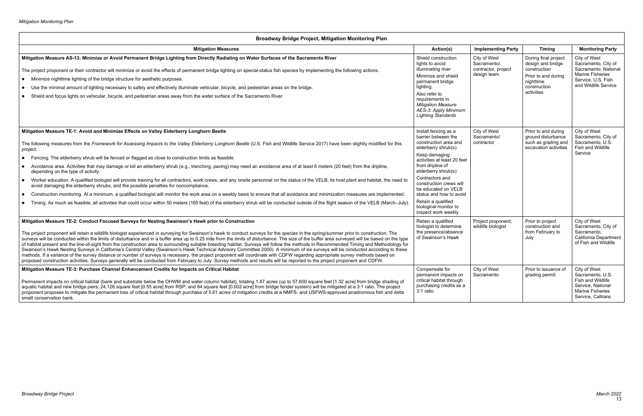| <b>Broadway Bridge Project, Mitigation Monitoring Plan</b>                                                                                                                                                                                                                                                                                                                                                                                                                                                                                                                                                                                                                                                                                                                                                                                                                                                                                                                                                                                                                                                                                                                                                                                      |                                                                                                                                                                                                                                           |                                                                   |                                                                                                                             |                                                                                                                                      |
|-------------------------------------------------------------------------------------------------------------------------------------------------------------------------------------------------------------------------------------------------------------------------------------------------------------------------------------------------------------------------------------------------------------------------------------------------------------------------------------------------------------------------------------------------------------------------------------------------------------------------------------------------------------------------------------------------------------------------------------------------------------------------------------------------------------------------------------------------------------------------------------------------------------------------------------------------------------------------------------------------------------------------------------------------------------------------------------------------------------------------------------------------------------------------------------------------------------------------------------------------|-------------------------------------------------------------------------------------------------------------------------------------------------------------------------------------------------------------------------------------------|-------------------------------------------------------------------|-----------------------------------------------------------------------------------------------------------------------------|--------------------------------------------------------------------------------------------------------------------------------------|
| <b>Mitigation Measures</b>                                                                                                                                                                                                                                                                                                                                                                                                                                                                                                                                                                                                                                                                                                                                                                                                                                                                                                                                                                                                                                                                                                                                                                                                                      | Action(s)                                                                                                                                                                                                                                 | <b>Implementing Party</b>                                         | <b>Timing</b>                                                                                                               | <b>Monitoring Party</b>                                                                                                              |
| Mitigation Measure AS-13: Minimize or Avoid Permanent Bridge Lighting from Directly Radiating on Water Surfaces of the Sacramento River<br>The project proponent or their contractor will minimize or avoid the effects of permanent bridge lighting on special-status fish species by implementing the following actions.<br>• Minimize nighttime lighting of the bridge structure for aesthetic purposes.<br>Use the minimal amount of lighting necessary to safely and effectively illuminate vehicular, bicycle, and pedestrian areas on the bridge.<br>$\bullet$<br>Shield and focus lights on vehicular, bicycle, and pedestrian areas away from the water surface of the Sacramento River.<br>$\bullet$                                                                                                                                                                                                                                                                                                                                                                                                                                                                                                                                  | Shield construction<br>lights to avoid<br>illuminating river<br>Minimize and shield<br>permanent bridge<br>lighting<br>Also refer to<br>requirements in<br><b>Mitigation Measure</b><br>AES-3: Apply Minimum<br><b>Lighting Standards</b> | City of West<br>Sacramento/<br>contractor, project<br>design team | During final project<br>design and bridge<br>construction<br>Prior to and during<br>nighttime<br>construction<br>activities | City of West<br>Sacramento, City of<br>Sacramento; National<br><b>Marine Fisheries</b><br>Service, U.S. Fish<br>and Wildlife Service |
| Mitigation Measure TE-1: Avoid and Minimize Effects on Valley Elderberry Longhorn Beetle<br>The following measures from the Framework for Assessing Impacts to the Valley Elderberry Longhorn Beetle (U.S. Fish and Wildlife Service 2017) have been slightly modified for this                                                                                                                                                                                                                                                                                                                                                                                                                                                                                                                                                                                                                                                                                                                                                                                                                                                                                                                                                                 | Install fencing as a<br>barrier between the<br>construction area and<br>elderberry shrub(s)                                                                                                                                               | City of West<br>Sacramento/<br>contractor                         | Prior to and during<br>ground disturbance<br>such as grading and<br>excavation activities                                   | City of West<br>Sacramento, City of<br>Sacramento, U.S.<br>Fish and Wildlife                                                         |
| project.<br>Fencing. The elderberry shrub will be fenced or flagged as close to construction limits as feasible.<br>$\bullet$<br>Avoidance area. Activities that may damage or kill an elderberry shrub (e.g., trenching, paving) may need an avoidance area of at least 6 meters (20 feet) from the dripline,<br>$\bullet$                                                                                                                                                                                                                                                                                                                                                                                                                                                                                                                                                                                                                                                                                                                                                                                                                                                                                                                     | Keep damaging<br>activities at least 20 feet<br>from dripline of<br>elderberry shrub(s)                                                                                                                                                   |                                                                   |                                                                                                                             | Service                                                                                                                              |
| depending on the type of activity.<br>Worker education. A qualified biologist will provide training for all contractors, work crews, and any onsite personnel on the status of the VELB, its host plant and habitat, the need to<br>$\bullet$<br>avoid damaging the elderberry shrubs, and the possible penalties for noncompliance.<br>Construction monitoring. At a minimum, a qualified biologist will monitor the work area on a weekly basis to ensure that all avoidance and minimization measures are implemented.<br>$\bullet$                                                                                                                                                                                                                                                                                                                                                                                                                                                                                                                                                                                                                                                                                                          | Contractors and<br>construction crews will<br>be educated on VELB<br>status and how to avoid                                                                                                                                              |                                                                   |                                                                                                                             |                                                                                                                                      |
| Timing. As much as feasible, all activities that could occur within 50 meters (165 feet) of the elderberry shrub will be conducted outside of the flight season of the VELB (March-July)<br>$\bullet$                                                                                                                                                                                                                                                                                                                                                                                                                                                                                                                                                                                                                                                                                                                                                                                                                                                                                                                                                                                                                                           | Retain a qualified<br>biological monitor to<br>inspect work weekly                                                                                                                                                                        |                                                                   |                                                                                                                             |                                                                                                                                      |
| Mitigation Measure TE-2: Conduct Focused Surveys for Nesting Swainson's Hawk prior to Construction<br>The project proponent will retain a wildlife biologist experienced in surveying for Swainson's hawk to conduct surveys for the species in the spring/summer prior to construction. The<br>surveys will be conducted within the limits of disturbance and in a buffer area up to 0.25 mile from the limits of disturbance. The size of the buffer area surveyed will be based on the type<br>of habitat present and the line-of-sight from the construction area to surrounding suitable breeding habitat. Surveys will follow the methods in Recommended Timing and Methodology for<br>Swainson's Hawk Nesting Surveys in California's Central Valley (Swainson's Hawk Technical Advisory Committee 2000). A minimum of six surveys will be conducted according to these<br>methods. If a variance of the survey distance or number of surveys is necessary, the project proponent will coordinate with CDFW regarding appropriate survey methods based on<br>proposed construction activities. Surveys generally will be conducted from February to July. Survey methods and results will be reported to the project proponent and CDFW. | Retain a qualified<br>biologist to determine<br>the presence/absence<br>of Swainson's Hawk                                                                                                                                                | Project proponent;<br>wildlife biologist                          | Prior to project<br>construction and<br>from February to<br>July                                                            | City of West<br>Sacramento, City of<br>Sacramento.<br>California Department<br>of Fish and Wildlife                                  |
| Mitigation Measure TE-3: Purchase Channel Enhancement Credits for Impacts on Critical Habitat<br>Permanent impacts on critical habitat (bank and substrate below the OHWM and water column habitat), totaling 1.87 acres (up to 57,600 square feet [1.32 acre] from bridge shading of<br>aquatic habitat and new bridge piers; 24,126 square feet [0.55 acre] from RSP; and 84 square feet [0.002 acre] from bridge fender system) will be mitigated at a 3:1 ratio. The project<br>proponent proposes to mitigate the permanent loss of critical habitat through purchase of 5.61 acres of mitigation credits at a NMFS- and USFWS-approved anadromous fish and delta<br>smelt conservation bank.                                                                                                                                                                                                                                                                                                                                                                                                                                                                                                                                              | Compensate for<br>permanent impacts on<br>critical habitat through<br>purchasing credits as a<br>3:1 ratio                                                                                                                                | City of West<br>Sacramento                                        | Prior to issuance of<br>grading permit                                                                                      | City of West<br>Sacramento, U.S.<br>Fish and Wildlife<br>Service, National<br><b>Marine Fisheries</b><br>Service, Caltrans           |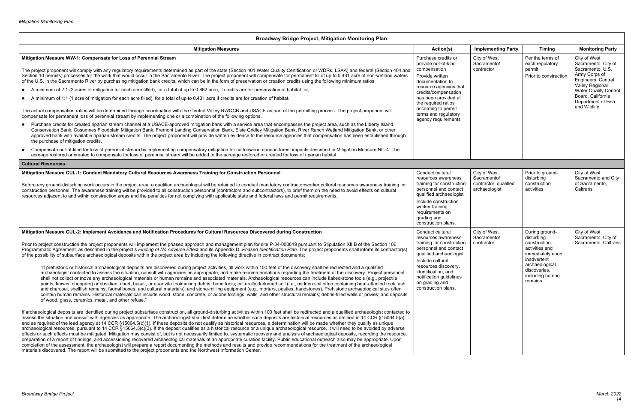| <b>Broadway Bridge Project, Mitigation Monitoring Plan</b>                                                                                                                                                                                                                                                                                                                                                                                                                                                                                                                                                                                                                                                                                                                                                                                                                                                                                                                                                                                                                                                                                                                                                                                                                                                                                                                                                                                                                                                                                                                                                                                                                                                                                                                                                                                                                                                                                                                                                                                                                                                                                                                                                                                                                                                                                                                                                                                                                                                                                                                                                                                                                                                                                                                                                                                                                                                                                                                                                                                                                                                                                                                                                                                                                                                                       |                                                                                                                                                                                                                                                                          |                                                                       |                                                                                                                                                                   |                                                                                                                                                                                                              |
|----------------------------------------------------------------------------------------------------------------------------------------------------------------------------------------------------------------------------------------------------------------------------------------------------------------------------------------------------------------------------------------------------------------------------------------------------------------------------------------------------------------------------------------------------------------------------------------------------------------------------------------------------------------------------------------------------------------------------------------------------------------------------------------------------------------------------------------------------------------------------------------------------------------------------------------------------------------------------------------------------------------------------------------------------------------------------------------------------------------------------------------------------------------------------------------------------------------------------------------------------------------------------------------------------------------------------------------------------------------------------------------------------------------------------------------------------------------------------------------------------------------------------------------------------------------------------------------------------------------------------------------------------------------------------------------------------------------------------------------------------------------------------------------------------------------------------------------------------------------------------------------------------------------------------------------------------------------------------------------------------------------------------------------------------------------------------------------------------------------------------------------------------------------------------------------------------------------------------------------------------------------------------------------------------------------------------------------------------------------------------------------------------------------------------------------------------------------------------------------------------------------------------------------------------------------------------------------------------------------------------------------------------------------------------------------------------------------------------------------------------------------------------------------------------------------------------------------------------------------------------------------------------------------------------------------------------------------------------------------------------------------------------------------------------------------------------------------------------------------------------------------------------------------------------------------------------------------------------------------------------------------------------------------------------------------------------------|--------------------------------------------------------------------------------------------------------------------------------------------------------------------------------------------------------------------------------------------------------------------------|-----------------------------------------------------------------------|-------------------------------------------------------------------------------------------------------------------------------------------------------------------|--------------------------------------------------------------------------------------------------------------------------------------------------------------------------------------------------------------|
| <b>Mitigation Measures</b>                                                                                                                                                                                                                                                                                                                                                                                                                                                                                                                                                                                                                                                                                                                                                                                                                                                                                                                                                                                                                                                                                                                                                                                                                                                                                                                                                                                                                                                                                                                                                                                                                                                                                                                                                                                                                                                                                                                                                                                                                                                                                                                                                                                                                                                                                                                                                                                                                                                                                                                                                                                                                                                                                                                                                                                                                                                                                                                                                                                                                                                                                                                                                                                                                                                                                                       | Action(s)                                                                                                                                                                                                                                                                | <b>Implementing Party</b>                                             | <b>Timing</b>                                                                                                                                                     | <b>Monitoring Party</b>                                                                                                                                                                                      |
| Mitigation Measure WW-1: Compensate for Loss of Perennial Stream<br>The project proponent will comply with any regulatory requirements determined as part of the state (Section 401 Water Quality Certification or WDRs, LSAA) and federal (Section 404 and<br>Section 10 permits) processes for the work that would occur in the Sacramento River. The project proponent will compensate for permanent fill of up to 0.431 acre of non-wetland waters<br>of the U.S. in the Sacramento River by purchasing mitigation bank credits, which can be in the form of preservation or creation credits using the following minimum ratios.<br>• A minimum of 2:1 (2 acres of mitigation for each acre filled), for a total of up to 0.862 acre, if credits are for preservation of habitat; or,<br>• A minimum of 1:1 (1 acre of mitigation for each acre filled), for a total of up to 0.431 acre if credits are for creation of habitat.<br>The actual compensation ratios will be determined through coordination with the Central Valley RWQCB and USACE as part of the permitting process. The project proponent will<br>compensate for permanent loss of perennial stream by implementing one or a combination of the following options.<br>• Purchase credits for created riparian stream channel at a USACE-approved mitigation bank with a service area that encompasses the project area, such as the Liberty Island<br>Conservation Bank, Cosumnes Floodplain Mitigation Bank, Fremont Landing Conservation Bank, Elsie Gridley Mitigation Bank, River Ranch Wetland Mitigation Bank, or other<br>approved bank with available riparian stream credits. The project proponent will provide written evidence to the resource agencies that compensation has been established through<br>the purchase of mitigation credits.                                                                                                                                                                                                                                                                                                                                                                                                                                                                                                                                                                                                                                                                                                                                                                                                                                                                                                                                                                                                                                                                                                                                                                                                                                                                                                                                                                                                                                                                                                 | Purchase credits or<br>provide out-of-kind<br>compensation<br>Provide written<br>documentation to<br>resource agencies that<br>credits/compensation<br>has been provided at<br>the required ratios<br>according to permit<br>terms and regulatory<br>agency requirements | City of West<br>Sacramento/<br>contractor                             | Per the terms of<br>each regulatory<br>permit<br>Prior to construction                                                                                            | City of West<br>Sacramento, City of<br>Sacramento, U.S.<br>Army Corps of<br>Engineers, Central<br>Valley Regional<br><b>Water Quality Control</b><br>Board, California<br>Department of Fish<br>and Wildlife |
| Compensate out-of-kind for loss of perennial stream by implementing compensatory mitigation for cottonwood riparian forest impacts described in Mitigation Measure NC-4. The<br>acreage restored or created to compensate for loss of perennial stream will be added to the acreage restored or created for loss of riparian habitat.                                                                                                                                                                                                                                                                                                                                                                                                                                                                                                                                                                                                                                                                                                                                                                                                                                                                                                                                                                                                                                                                                                                                                                                                                                                                                                                                                                                                                                                                                                                                                                                                                                                                                                                                                                                                                                                                                                                                                                                                                                                                                                                                                                                                                                                                                                                                                                                                                                                                                                                                                                                                                                                                                                                                                                                                                                                                                                                                                                                            |                                                                                                                                                                                                                                                                          |                                                                       |                                                                                                                                                                   |                                                                                                                                                                                                              |
| <b>Cultural Resources</b>                                                                                                                                                                                                                                                                                                                                                                                                                                                                                                                                                                                                                                                                                                                                                                                                                                                                                                                                                                                                                                                                                                                                                                                                                                                                                                                                                                                                                                                                                                                                                                                                                                                                                                                                                                                                                                                                                                                                                                                                                                                                                                                                                                                                                                                                                                                                                                                                                                                                                                                                                                                                                                                                                                                                                                                                                                                                                                                                                                                                                                                                                                                                                                                                                                                                                                        |                                                                                                                                                                                                                                                                          |                                                                       |                                                                                                                                                                   |                                                                                                                                                                                                              |
| Mitigation Measure CUL-1: Conduct Mandatory Cultural Resources Awareness Training for Construction Personnel<br>Before any ground-disturbing work occurs in the project area, a qualified archaeologist will be retained to conduct mandatory contractor/worker cultural resources awareness training for<br>construction personnel. The awareness training will be provided to all construction personnel (contractors and subcontractors), to brief them on the need to avoid effects on cultural<br>resources adjacent to and within construction areas and the penalties for not complying with applicable state and federal laws and permit requirements.                                                                                                                                                                                                                                                                                                                                                                                                                                                                                                                                                                                                                                                                                                                                                                                                                                                                                                                                                                                                                                                                                                                                                                                                                                                                                                                                                                                                                                                                                                                                                                                                                                                                                                                                                                                                                                                                                                                                                                                                                                                                                                                                                                                                                                                                                                                                                                                                                                                                                                                                                                                                                                                                   | Conduct cultural<br>resources awareness<br>training for construction<br>personnel and contact<br>qualified archaeologist<br>Include construction<br>worker training<br>requirements on<br>grading and<br>construction plans.                                             | City of West<br>Sacramento/<br>contractor; qualified<br>archaeologist | Prior to ground-<br>disturbing<br>construction<br>activities                                                                                                      | City of West<br>Sacramento and City<br>of Sacramento,<br>Caltrans                                                                                                                                            |
| Mitigation Measure CUL-2: Implement Avoidance and Notification Procedures for Cultural Resources Discovered during Construction<br>Prior to project construction the project proponents will implement the phased approach and management plan for site P-34-000619 pursuant to Stipulation XII.B of the Section 106<br>Programmatic Agreement, as described in the project's Finding of No Adverse Effect and its Appendix D, Phased Identification Plan. The project proponents shall inform its contractor(s)<br>of the possibility of subsurface archaeological deposits within the project area by including the following directive in contract documents:<br>"If prehistoric or historical archaeological deposits are discovered during project activities, all work within 100 feet of the discovery shall be redirected and a qualified<br>archaeologist contacted to assess the situation, consult with agencies as appropriate, and make recommendations regarding the treatment of the discovery. Project personnel<br>shall not collect or move any archaeological materials or human remains and associated materials. Archaeological resources can include flaked-stone tools (e.g., projectile<br>points, knives, choppers) or obsidian, chert, basalt, or quartzite toolmaking debris; bone tools; culturally darkened soil (i.e., midden soil often containing heat-affected rock, ash<br>and charcoal, shellfish remains, faunal bones, and cultural materials); and stone-milling equipment (e.g., mortars, pestles, handstones). Prehistoric archaeological sites often<br>contain human remains. Historical materials can include wood, stone, concrete, or adobe footings, walls, and other structural remains; debris-filled wells or privies; and deposits<br>of wood, glass, ceramics, metal, and other refuse."<br>If archaeological deposits are identified during project subsurface construction, all ground-disturbing activities within 100 feet shall be redirected and a qualified archaeologist contacted to<br>assess the situation and consult with agencies as appropriate. The archaeologist shall first determine whether such deposits are historical resources as defined in 14 CCR §15064.5(a)<br>and as required of the lead agency at 14 CCR §15064.5(c)(1). If these deposits do not qualify as historical resources, a determination will be made whether they qualify as unique<br>archaeological resources, pursuant to 14 CCR §15064.5(c)(3). If the deposit qualifies as a historical resource or a unique archaeological resource, it will need to be avoided by adverse<br>effects or such effects must be mitigated. Mitigation may consist of, but is not necessarily limited to, systematic recovery and analysis of archaeological deposits, recording the resource,<br>preparation of a report of findings, and accessioning recovered archaeological materials at an appropriate curation facility. Public educational outreach also may be appropriate. Upon<br>completion of the assessment, the archaeologist will prepare a report documenting the methods and results and provide recommendations for the treatment of the archaeological<br>materials discovered. The report will be submitted to the project proponents and the Northwest Information Center. | Conduct cultural<br>resources awareness<br>training for construction<br>personnel and contact<br>qualified archaeologist<br>Include cultural<br>resources discovery,<br>identification, and<br>notification guidelines<br>on grading and<br>construction plans.          | City of West<br>Sacramento/<br>contractor                             | During ground-<br>disturbing<br>construction<br>activities and<br>immediately upon<br>inadvertent<br>archaeological<br>discoveries,<br>including human<br>remains | City of West<br>Sacramento, City of<br>Sacramento, Caltrans                                                                                                                                                  |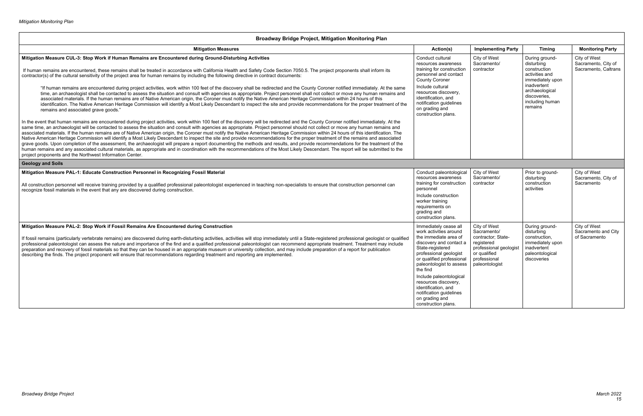| <b>Broadway Bridge Project, Mitigation Monitoring Plan</b>                                                                                                                                                                                                                                                                                                                                                                                                                                                                                                                                                                                                                                                                                                                                                                                                                                                                                                                                                                                                                                                                                                                                          |                                                                                                                                                                                                                                                                                                                                                                      |                                                                                                                                             |                                                                                                                    |                                                             |  |  |  |
|-----------------------------------------------------------------------------------------------------------------------------------------------------------------------------------------------------------------------------------------------------------------------------------------------------------------------------------------------------------------------------------------------------------------------------------------------------------------------------------------------------------------------------------------------------------------------------------------------------------------------------------------------------------------------------------------------------------------------------------------------------------------------------------------------------------------------------------------------------------------------------------------------------------------------------------------------------------------------------------------------------------------------------------------------------------------------------------------------------------------------------------------------------------------------------------------------------|----------------------------------------------------------------------------------------------------------------------------------------------------------------------------------------------------------------------------------------------------------------------------------------------------------------------------------------------------------------------|---------------------------------------------------------------------------------------------------------------------------------------------|--------------------------------------------------------------------------------------------------------------------|-------------------------------------------------------------|--|--|--|
| <b>Mitigation Measures</b>                                                                                                                                                                                                                                                                                                                                                                                                                                                                                                                                                                                                                                                                                                                                                                                                                                                                                                                                                                                                                                                                                                                                                                          | Action(s)                                                                                                                                                                                                                                                                                                                                                            | <b>Implementing Party</b>                                                                                                                   | <b>Timing</b>                                                                                                      | <b>Monitoring Party</b>                                     |  |  |  |
| Mitigation Measure CUL-3: Stop Work if Human Remains are Encountered during Ground-Disturbing Activities<br>If human remains are encountered, these remains shall be treated in accordance with California Health and Safety Code Section 7050.5. The project proponents shall inform its<br>contractor(s) of the cultural sensitivity of the project area for human remains by including the following directive in contract documents:                                                                                                                                                                                                                                                                                                                                                                                                                                                                                                                                                                                                                                                                                                                                                            | Conduct cultural<br>resources awareness<br>training for construction<br>personnel and contact<br><b>County Coroner</b>                                                                                                                                                                                                                                               | City of West<br>Sacramento/<br>contractor                                                                                                   | During ground-<br>disturbing<br>construction<br>activities and<br>immediately upon                                 | City of West<br>Sacramento, City of<br>Sacramento, Caltrans |  |  |  |
| "If human remains are encountered during project activities, work within 100 feet of the discovery shall be redirected and the County Coroner notified immediately. At the same<br>time, an archaeologist shall be contacted to assess the situation and consult with agencies as appropriate. Project personnel shall not collect or move any human remains and<br>associated materials. If the human remains are of Native American origin, the Coroner must notify the Native American Heritage Commission within 24 hours of this<br>identification. The Native American Heritage Commission will identify a Most Likely Descendant to inspect the site and provide recommendations for the proper treatment of the<br>remains and associated grave goods."                                                                                                                                                                                                                                                                                                                                                                                                                                     | Include cultural<br>resources discovery,<br>identification, and<br>notification guidelines<br>on grading and<br>construction plans.                                                                                                                                                                                                                                  |                                                                                                                                             | inadvertent<br>archaeological<br>discoveries,<br>including human<br>remains                                        |                                                             |  |  |  |
| In the event that human remains are encountered during project activities, work within 100 feet of the discovery will be redirected and the County Coroner notified immediately. At the<br>same time, an archaeologist will be contacted to assess the situation and consult with agencies as appropriate. Project personnel should not collect or move any human remains and<br>associated materials. If the human remains are of Native American origin, the Coroner must notify the Native American Heritage Commission within 24 hours of this identification. The<br>Native American Heritage Commission will identify a Most Likely Descendant to inspect the site and provide recommendations for the proper treatment of the remains and associated<br>grave goods. Upon completion of the assessment, the archaeologist will prepare a report documenting the methods and results, and provide recommendations for the treatment of the<br>human remains and any associated cultural materials, as appropriate and in coordination with the recommendations of the Most Likely Descendant. The report will be submitted to the<br>project proponents and the Northwest Information Center. |                                                                                                                                                                                                                                                                                                                                                                      |                                                                                                                                             |                                                                                                                    |                                                             |  |  |  |
| <b>Geology and Soils</b>                                                                                                                                                                                                                                                                                                                                                                                                                                                                                                                                                                                                                                                                                                                                                                                                                                                                                                                                                                                                                                                                                                                                                                            |                                                                                                                                                                                                                                                                                                                                                                      |                                                                                                                                             |                                                                                                                    |                                                             |  |  |  |
| Mitigation Measure PAL-1: Educate Construction Personnel in Recognizing Fossil Material<br>All construction personnel will receive training provided by a qualified professional paleontologist experienced in teaching non-specialists to ensure that construction personnel can<br>recognize fossil materials in the event that any are discovered during construction.                                                                                                                                                                                                                                                                                                                                                                                                                                                                                                                                                                                                                                                                                                                                                                                                                           | Conduct paleontological<br>resources awareness<br>training for construction<br>personnel<br>Include construction<br>worker training<br>requirements on<br>grading and<br>construction plans.                                                                                                                                                                         | City of West<br>Sacramento/<br>contractor                                                                                                   | Prior to ground-<br>disturbing<br>construction<br>activities                                                       | City of West<br>Sacramento, City of<br>Sacramento           |  |  |  |
| Mitigation Measure PAL-2: Stop Work if Fossil Remains Are Encountered during Construction<br>If fossil remains (particularly vertebrate remains) are discovered during earth-disturbing activities, activities will stop immediately until a State-registered professional geologist or qualified<br>professional paleontologist can assess the nature and importance of the find and a qualified professional paleontologist can recommend appropriate treatment. Treatment may include<br>preparation and recovery of fossil materials so that they can be housed in an appropriate museum or university collection, and may include preparation of a report for publication<br>describing the finds. The project proponent will ensure that recommendations regarding treatment and reporting are implemented.                                                                                                                                                                                                                                                                                                                                                                                   | Immediately cease all<br>work activities around<br>the immediate area of<br>discovery and contact a<br>State-registered<br>professional geologist<br>or qualified professional<br>paleontologist to assess<br>the find<br>Include paleontological<br>resources discovery,<br>identification, and<br>notification guidelines<br>on grading and<br>construction plans. | City of West<br>Sacramento/<br>contractor; State-<br>registered<br>professional geologist<br>or qualified<br>professional<br>paleontologist | During ground-<br>disturbing<br>construction,<br>immediately upon<br>inadvertent<br>paleontological<br>discoveries | City of West<br>Sacramento and City<br>of Sacramento        |  |  |  |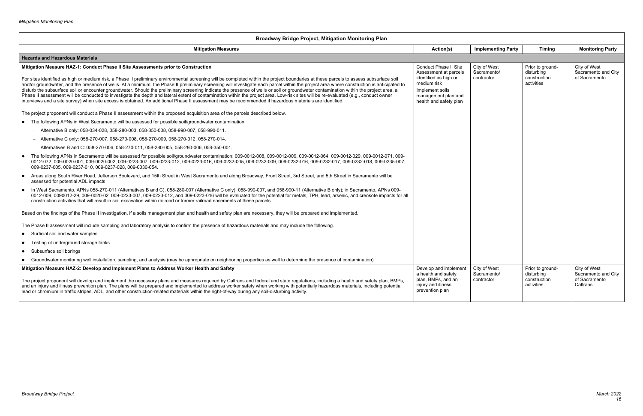### **Broadway Bridge Project, Mitigation Monitoring Plan Mitigation Measures Action(s) Implementing Party Timing Monitoring Party Hazards and Hazardous Materials Mitigation Measure HAZ-1: Conduct Phase II Site Assessments prior to Construction** For sites identified as high or medium risk, a Phase II preliminary environmental screening will be completed within the project boundaries at these parcels to assess subsurface soil and/or groundwater, and the presence of wells. At a minimum, the Phase II preliminary screening will investigate each parcel within the project area where construction is anticipated to disturb the subsurface soil or encounter groundwater. Should the preliminary screening indicate the presence of wells or soil or groundwater contamination within the project area, a Phase II assessment will be conducted to investigate the depth and lateral extent of contamination within the project area. Low-risk sites will be re-evaluated (e.g., conduct owner interviews and a site survey) when site access is obtained. An additional Phase II assessment may be recommended if hazardous materials are identified. The project proponent will conduct a Phase II assessment within the proposed acquisition area of the parcels described below. The following APNs in West Sacramento will be assessed for possible soil/groundwater contamination: – Alternative B only: 058-034-028, 058-280-003, 058-350-008, 058-990-007, 058-990-011. – Alternative C only: 058‐270‐007, 058‐270‐008, 058‐270‐009, 058‐270‐012, 058‐270‐014. – Alternatives B and C: 058‐270‐006, 058‐270‐011, 058-280-005, 058-280-006, 058-350-001. • The following APNs in Sacramento will be assessed for possible soil/groundwater contamination: 009-0012-008, 009-0012-009, 009-0012-004, 009-0012-029, 009-0012-071, 009-0012-072, 009-0020-001, 009-0020-002, 009-0223-007, 009-0223-012, 009-0223-016, 009-0232-005, 009-0232-009, 009-0232-016, 009-0232-017, 009-0232-018, 009-0235-007, 009-0237-005, 009-0237-010, 009-0237-028, 009-0030-054. Areas along South River Road, Jefferson Boulevard, and 15th Street in West Sacramento and along Broadway, Front Street, 3rd Street, and 5th Street in Sacramento will be assessed for potential ADL impacts ● In West Sacramento, APNs 058-270-011 (Alternatives B and C), 058-280-007 (Alternative C only), 058-990-007, and 058-990-11 (Alternative B only); in Sacramento, APNs 009-0012-009, 0090012-29, 009-0020-02, 009-0223-007, 009-0223-012, and 009-0223-016 will be evaluated for the potential for metals, TPH, lead, arsenic, and creosote impacts for all construction activities that will result in soil excavation within railroad or former railroad easements at these parcels. Based on the findings of the Phase II investigation, if a soils management plan and health and safety plan are necessary, they will be prepared and implemented. The Phase II assessment will include sampling and laboratory analysis to confirm the presence of hazardous materials and may include the following. Surficial soil and water samples Testing of underground storage tanks • Subsurface soil borings Groundwater monitoring well installation, sampling, and analysis (may be appropriate on neighboring properties as well to determine the presence of contamination) Conduct Phase II Site Assessment at parcels identified as high or medium risk Implement soils management plan and health and safety plan **Mitigation Measure HAZ-2: Develop and Implement Plans to Address Worker Health and Safety** The project proponent will develop and implement the necessary plans and measures required by Caltrans and federal and state regulations, including a health and safety plan, BMPs, and an injury and illness prevention plan. The plans will be prepared and implemented to address worker safety when working with potentially hazardous materials, including potential lead or chromium in traffic stripes, ADL, and other construction-related materials within the right-of-way during any soil-disturbing activity. Develop and implement a health and safety plan, BMPs, and an injury and illness prevention plan

| <b>Implementing Party</b>                 | <b>Timing</b>                                                | <b>Monitoring Party</b>                                          |  |  |  |  |  |
|-------------------------------------------|--------------------------------------------------------------|------------------------------------------------------------------|--|--|--|--|--|
|                                           |                                                              |                                                                  |  |  |  |  |  |
| City of West<br>Sacramento/<br>contractor | Prior to ground-<br>disturbing<br>construction<br>activities | City of West<br>Sacramento and City<br>of Sacramento             |  |  |  |  |  |
| City of West<br>Sacramento/<br>contractor | Prior to ground-<br>disturbing<br>construction<br>activities | City of West<br>Sacramento and City<br>of Sacramento<br>Caltrans |  |  |  |  |  |